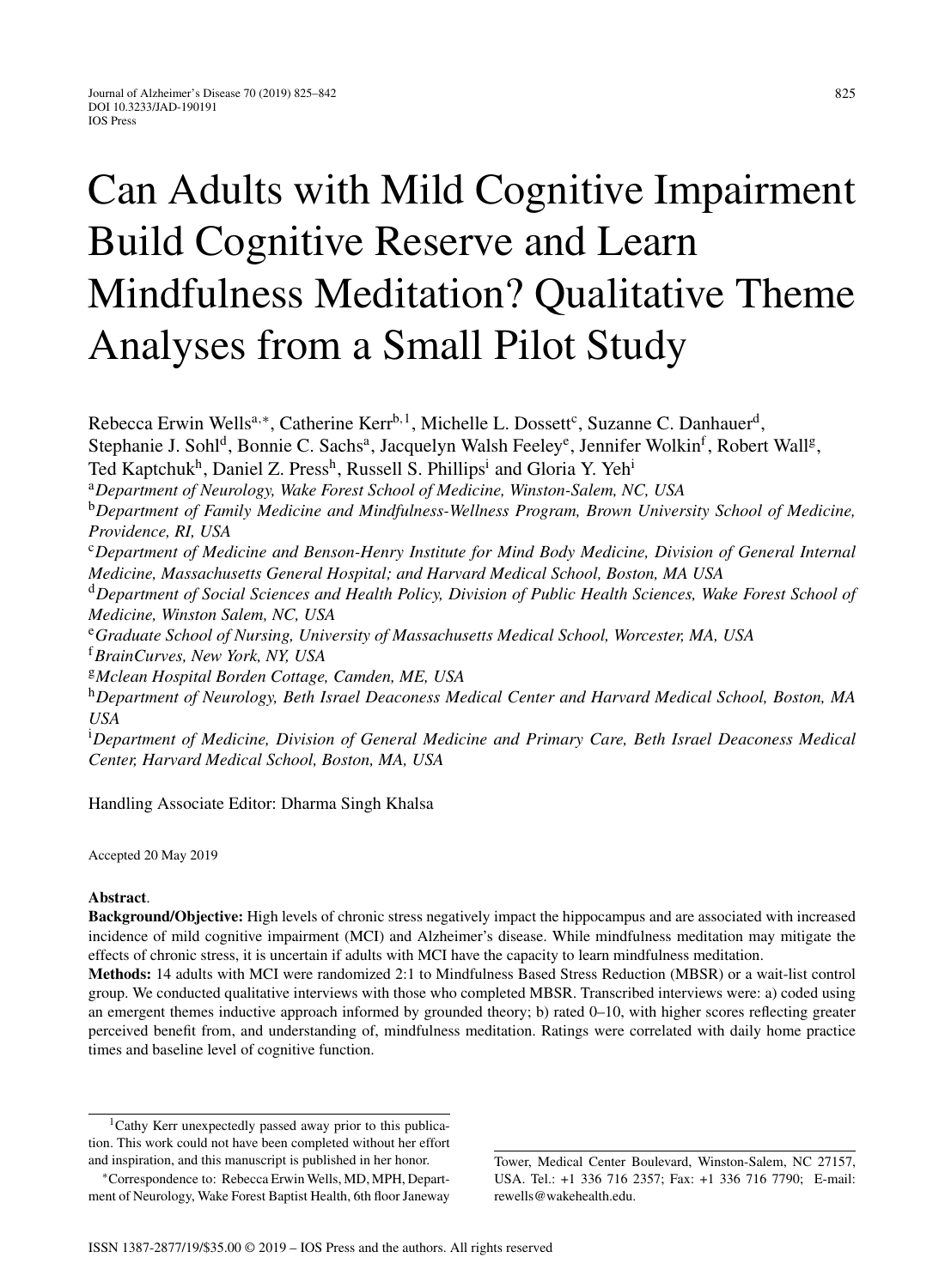# Can Adults with Mild Cognitive Impairment Build Cognitive Reserve and Learn Mindfulness Meditation? Qualitative Theme Analyses from a Small Pilot Study

Rebecca Erwin Wells<sup>a,∗</sup>, Catherine Kerr<sup>b, 1</sup>, Michelle L. Dossett<sup>c</sup>, Suzanne C. Danhauer<sup>d</sup>, Stephanie J. Sohl<sup>d</sup>, Bonnie C. Sachs<sup>a</sup>, Jacquelyn Walsh Feeley<sup>e</sup>, Jennifer Wolkin<sup>f</sup>, Robert Wall<sup>g</sup>, Ted Kaptchuk<sup>h</sup>, Daniel Z. Press<sup>h</sup>, Russell S. Phillips<sup>i</sup> and Gloria Y. Yeh<sup>i</sup>

<sup>a</sup>*Department of Neurology, Wake Forest School of Medicine, Winston-Salem, NC, USA*

<sup>b</sup>*Department of Family Medicine and Mindfulness-Wellness Program, Brown University School of Medicine, Providence, RI, USA*

<sup>c</sup>*Department of Medicine and Benson-Henry Institute for Mind Body Medicine, Division of General Internal Medicine, Massachusetts General Hospital; and Harvard Medical School, Boston, MA USA*

<sup>d</sup>*Department of Social Sciences and Health Policy, Division of Public Health Sciences, Wake Forest School of Medicine, Winston Salem, NC, USA*

<sup>e</sup>*Graduate School of Nursing, University of Massachusetts Medical School, Worcester, MA, USA* <sup>f</sup>*BrainCurves, New York, NY, USA*

<sup>g</sup>*Mclean Hospital Borden Cottage, Camden, ME, USA*

<sup>h</sup>*Department of Neurology, Beth Israel Deaconess Medical Center and Harvard Medical School, Boston, MA USA*

i *Department of Medicine, Division of General Medicine and Primary Care, Beth Israel Deaconess Medical Center, Harvard Medical School, Boston, MA, USA*

Handling Associate Editor: Dharma Singh Khalsa

Accepted 20 May 2019

# **Abstract**.

**Background/Objective:** High levels of chronic stress negatively impact the hippocampus and are associated with increased incidence of mild cognitive impairment (MCI) and Alzheimer's disease. While mindfulness meditation may mitigate the effects of chronic stress, it is uncertain if adults with MCI have the capacity to learn mindfulness meditation.

**Methods:** 14 adults with MCI were randomized 2:1 to Mindfulness Based Stress Reduction (MBSR) or a wait-list control group. We conducted qualitative interviews with those who completed MBSR. Transcribed interviews were: a) coded using an emergent themes inductive approach informed by grounded theory; b) rated 0–10, with higher scores reflecting greater perceived benefit from, and understanding of, mindfulness meditation. Ratings were correlated with daily home practice times and baseline level of cognitive function.

Tower, Medical Center Boulevard, Winston-Salem, NC 27157, USA. Tel.: +1 336 716 2357; Fax: +1 336 716 7790; E-mail: [rewells@wakehealth.edu.](mailto:rewells@wakehealth.edu)

 ${}^{1}$ Cathy Kerr unexpectedly passed away prior to this publication. This work could not have been completed without her effort and inspiration, and this manuscript is published in her honor.

<sup>∗</sup>Correspondence to: Rebecca Erwin Wells, MD, MPH, Department of Neurology, Wake Forest Baptist Health, 6th floor Janeway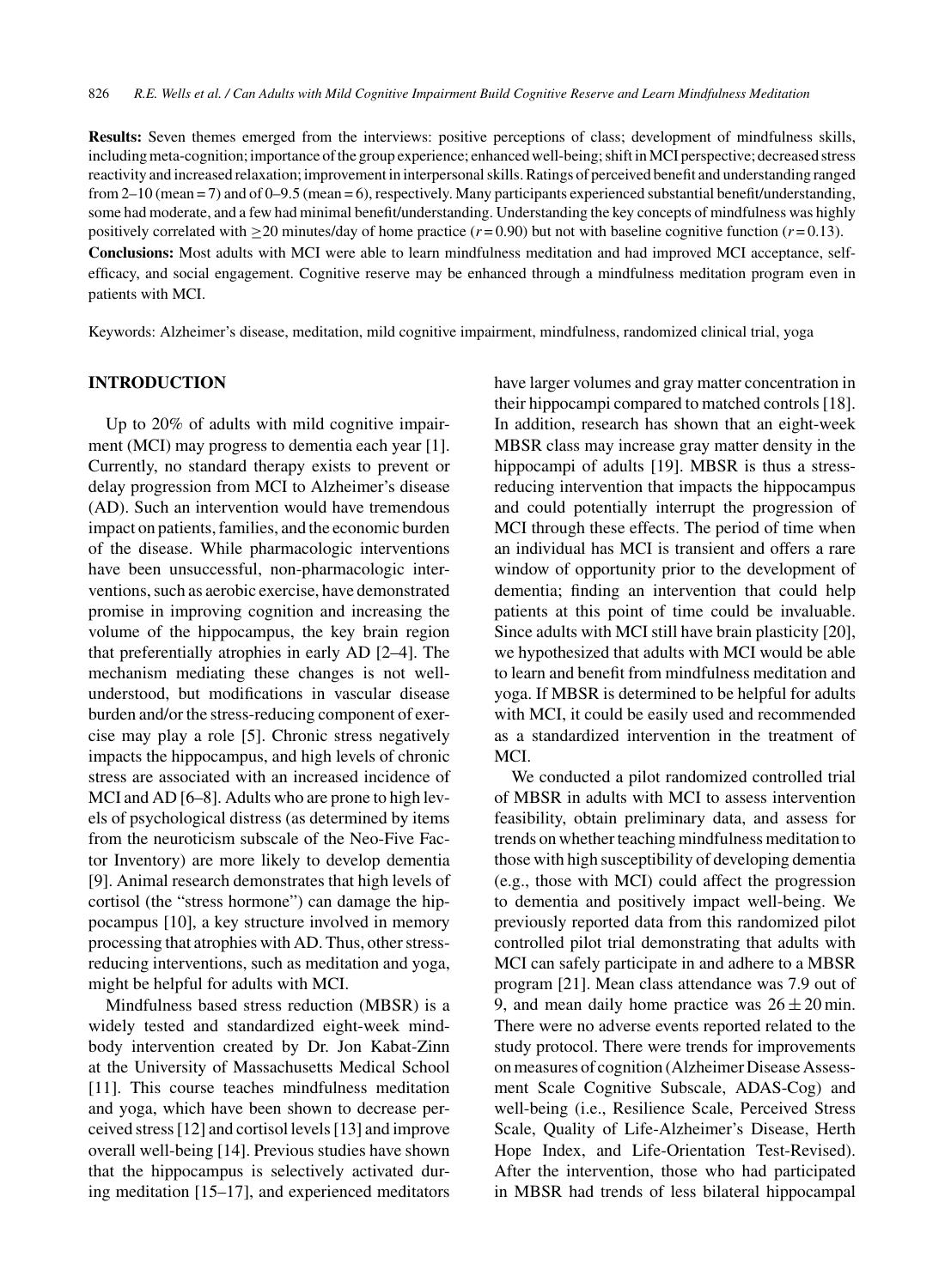**Results:** Seven themes emerged from the interviews: positive perceptions of class; development of mindfulness skills, including meta-cognition; importance of the group experience; enhanced well-being; shift in MCI perspective; decreased stress reactivity and increased relaxation; improvement in interpersonal skills. Ratings of perceived benefit and understanding ranged from 2–10 (mean = 7) and of 0–9.5 (mean = 6), respectively. Many participants experienced substantial benefit/understanding, some had moderate, and a few had minimal benefit/understanding. Understanding the key concepts of mindfulness was highly positively correlated with  $\geq$ 20 minutes/day of home practice ( $r$  = 0.90) but not with baseline cognitive function ( $r$  = 0.13). **Conclusions:** Most adults with MCI were able to learn mindfulness meditation and had improved MCI acceptance, selfefficacy, and social engagement. Cognitive reserve may be enhanced through a mindfulness meditation program even in patients with MCI.

Keywords: Alzheimer's disease, meditation, mild cognitive impairment, mindfulness, randomized clinical trial, yoga

# **INTRODUCTION**

Up to 20% of adults with mild cognitive impairment (MCI) may progress to dementia each year [1]. Currently, no standard therapy exists to prevent or delay progression from MCI to Alzheimer's disease (AD). Such an intervention would have tremendous impact on patients, families, and the economic burden of the disease. While pharmacologic interventions have been unsuccessful, non-pharmacologic interventions, such as aerobic exercise, have demonstrated promise in improving cognition and increasing the volume of the hippocampus, the key brain region that preferentially atrophies in early AD [2–4]. The mechanism mediating these changes is not wellunderstood, but modifications in vascular disease burden and/or the stress-reducing component of exercise may play a role [5]. Chronic stress negatively impacts the hippocampus, and high levels of chronic stress are associated with an increased incidence of MCI and AD [6–8]. Adults who are prone to high levels of psychological distress (as determined by items from the neuroticism subscale of the Neo-Five Factor Inventory) are more likely to develop dementia [9]. Animal research demonstrates that high levels of cortisol (the "stress hormone") can damage the hippocampus [10], a key structure involved in memory processing that atrophies with AD. Thus, other stressreducing interventions, such as meditation and yoga, might be helpful for adults with MCI.

Mindfulness based stress reduction (MBSR) is a widely tested and standardized eight-week mindbody intervention created by Dr. Jon Kabat-Zinn at the University of Massachusetts Medical School [11]. This course teaches mindfulness meditation and yoga, which have been shown to decrease perceived stress [12] and cortisol levels [13] and improve overall well-being [14]. Previous studies have shown that the hippocampus is selectively activated during meditation [15–17], and experienced meditators

have larger volumes and gray matter concentration in their hippocampi compared to matched controls [18]. In addition, research has shown that an eight-week MBSR class may increase gray matter density in the hippocampi of adults [19]. MBSR is thus a stressreducing intervention that impacts the hippocampus and could potentially interrupt the progression of MCI through these effects. The period of time when an individual has MCI is transient and offers a rare window of opportunity prior to the development of dementia; finding an intervention that could help patients at this point of time could be invaluable. Since adults with MCI still have brain plasticity [20], we hypothesized that adults with MCI would be able to learn and benefit from mindfulness meditation and yoga. If MBSR is determined to be helpful for adults with MCI, it could be easily used and recommended as a standardized intervention in the treatment of MCI.

We conducted a pilot randomized controlled trial of MBSR in adults with MCI to assess intervention feasibility, obtain preliminary data, and assess for trends on whether teaching mindfulness meditation to those with high susceptibility of developing dementia (e.g., those with MCI) could affect the progression to dementia and positively impact well-being. We previously reported data from this randomized pilot controlled pilot trial demonstrating that adults with MCI can safely participate in and adhere to a MBSR program [21]. Mean class attendance was 7.9 out of 9, and mean daily home practice was  $26 \pm 20$  min. There were no adverse events reported related to the study protocol. There were trends for improvements on measures of cognition (Alzheimer Disease Assessment Scale Cognitive Subscale, ADAS-Cog) and well-being (i.e., Resilience Scale, Perceived Stress Scale, Quality of Life-Alzheimer's Disease, Herth Hope Index, and Life-Orientation Test-Revised). After the intervention, those who had participated in MBSR had trends of less bilateral hippocampal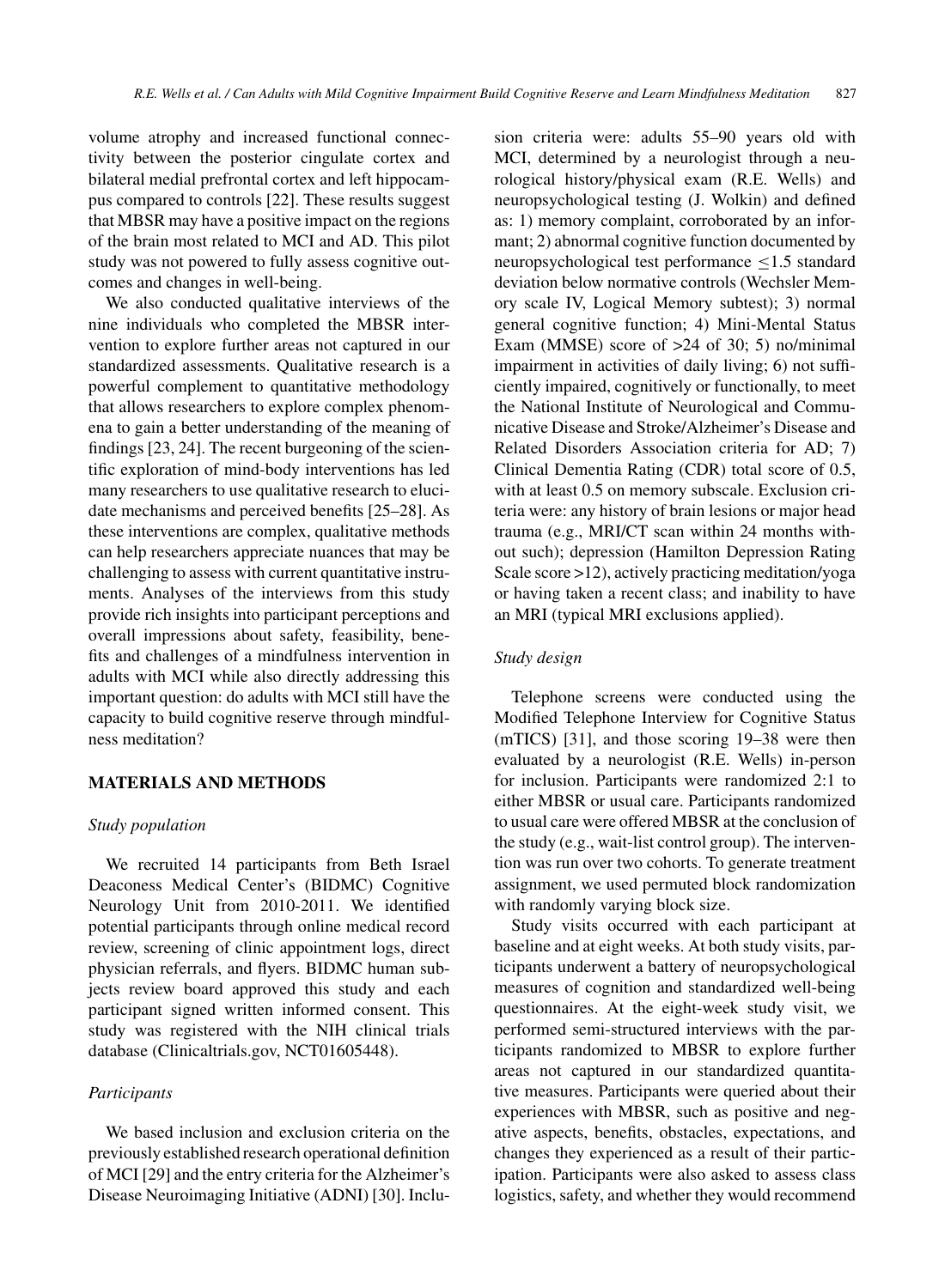volume atrophy and increased functional connectivity between the posterior cingulate cortex and bilateral medial prefrontal cortex and left hippocampus compared to controls [22]. These results suggest that MBSR may have a positive impact on the regions of the brain most related to MCI and AD. This pilot study was not powered to fully assess cognitive outcomes and changes in well-being.

We also conducted qualitative interviews of the nine individuals who completed the MBSR intervention to explore further areas not captured in our standardized assessments. Qualitative research is a powerful complement to quantitative methodology that allows researchers to explore complex phenomena to gain a better understanding of the meaning of findings [23, 24]. The recent burgeoning of the scientific exploration of mind-body interventions has led many researchers to use qualitative research to elucidate mechanisms and perceived benefits [25–28]. As these interventions are complex, qualitative methods can help researchers appreciate nuances that may be challenging to assess with current quantitative instruments. Analyses of the interviews from this study provide rich insights into participant perceptions and overall impressions about safety, feasibility, benefits and challenges of a mindfulness intervention in adults with MCI while also directly addressing this important question: do adults with MCI still have the capacity to build cognitive reserve through mindfulness meditation?

# **MATERIALS AND METHODS**

### *Study population*

We recruited 14 participants from Beth Israel Deaconess Medical Center's (BIDMC) Cognitive Neurology Unit from 2010-2011. We identified potential participants through online medical record review, screening of clinic appointment logs, direct physician referrals, and flyers. BIDMC human subjects review board approved this study and each participant signed written informed consent. This study was registered with the NIH clinical trials database (Clinicaltrials.gov, NCT01605448).

## *Participants*

We based inclusion and exclusion criteria on the previously established research operational definition of MCI [29] and the entry criteria for the Alzheimer's Disease Neuroimaging Initiative (ADNI) [30]. Inclusion criteria were: adults 55–90 years old with MCI, determined by a neurologist through a neurological history/physical exam (R.E. Wells) and neuropsychological testing (J. Wolkin) and defined as: 1) memory complaint, corroborated by an informant; 2) abnormal cognitive function documented by neuropsychological test performance ≤1.5 standard deviation below normative controls (Wechsler Memory scale IV, Logical Memory subtest); 3) normal general cognitive function; 4) Mini-Mental Status Exam (MMSE) score of >24 of 30; 5) no/minimal impairment in activities of daily living; 6) not sufficiently impaired, cognitively or functionally, to meet the National Institute of Neurological and Communicative Disease and Stroke/Alzheimer's Disease and Related Disorders Association criteria for AD; 7) Clinical Dementia Rating (CDR) total score of 0.5, with at least 0.5 on memory subscale. Exclusion criteria were: any history of brain lesions or major head trauma (e.g., MRI/CT scan within 24 months without such); depression (Hamilton Depression Rating Scale score >12), actively practicing meditation/yoga or having taken a recent class; and inability to have an MRI (typical MRI exclusions applied).

# *Study design*

Telephone screens were conducted using the Modified Telephone Interview for Cognitive Status (mTICS) [31], and those scoring 19–38 were then evaluated by a neurologist (R.E. Wells) in-person for inclusion. Participants were randomized 2:1 to either MBSR or usual care. Participants randomized to usual care were offered MBSR at the conclusion of the study (e.g., wait-list control group). The intervention was run over two cohorts. To generate treatment assignment, we used permuted block randomization with randomly varying block size.

Study visits occurred with each participant at baseline and at eight weeks. At both study visits, participants underwent a battery of neuropsychological measures of cognition and standardized well-being questionnaires. At the eight-week study visit, we performed semi-structured interviews with the participants randomized to MBSR to explore further areas not captured in our standardized quantitative measures. Participants were queried about their experiences with MBSR, such as positive and negative aspects, benefits, obstacles, expectations, and changes they experienced as a result of their participation. Participants were also asked to assess class logistics, safety, and whether they would recommend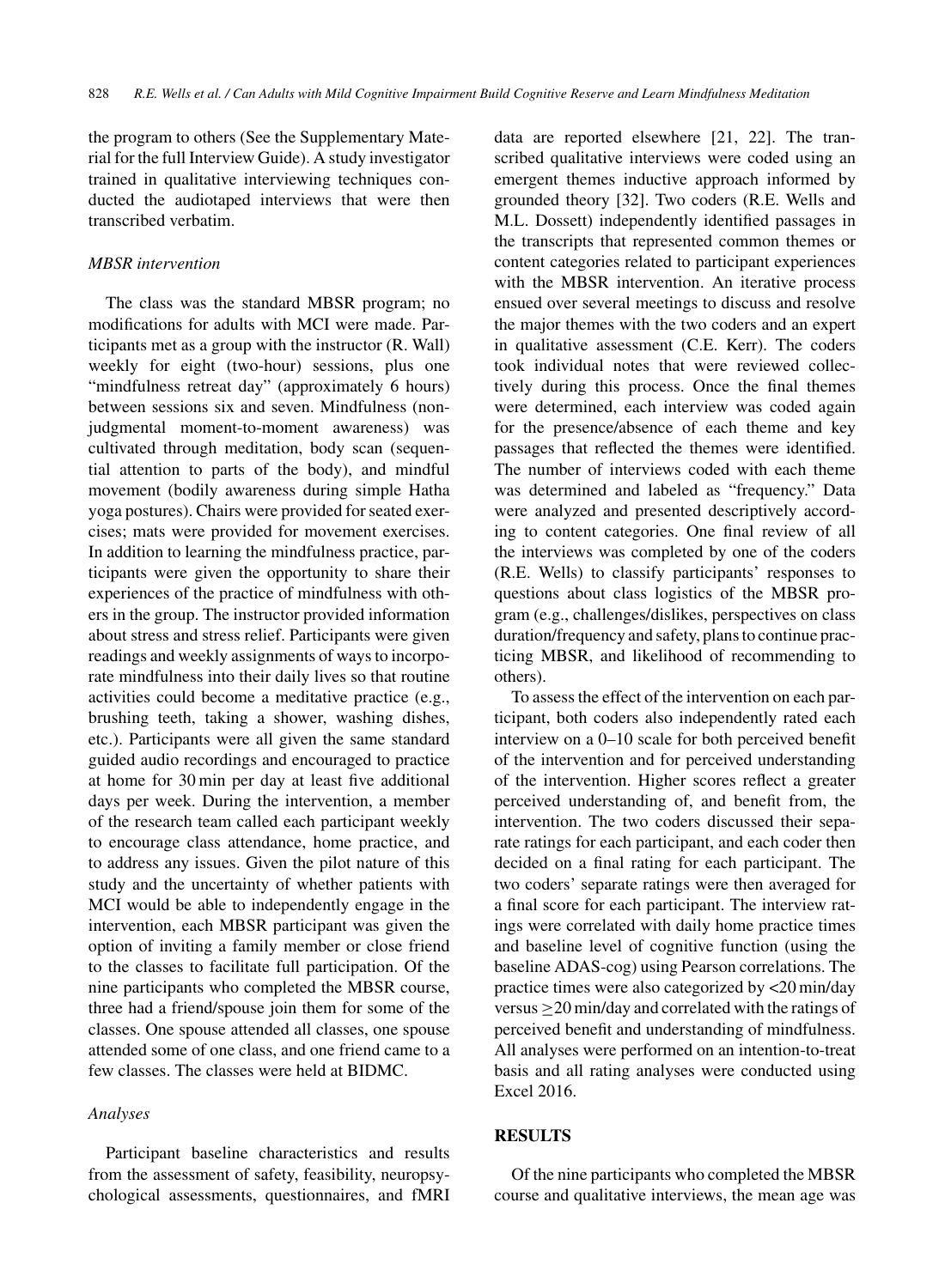the program to others (See the Supplementary Material for the full Interview Guide). A study investigator trained in qualitative interviewing techniques conducted the audiotaped interviews that were then transcribed verbatim.

# *MBSR intervention*

The class was the standard MBSR program; no modifications for adults with MCI were made. Participants met as a group with the instructor (R. Wall) weekly for eight (two-hour) sessions, plus one "mindfulness retreat day" (approximately 6 hours) between sessions six and seven. Mindfulness (nonjudgmental moment-to-moment awareness) was cultivated through meditation, body scan (sequential attention to parts of the body), and mindful movement (bodily awareness during simple Hatha yoga postures). Chairs were provided for seated exercises; mats were provided for movement exercises. In addition to learning the mindfulness practice, participants were given the opportunity to share their experiences of the practice of mindfulness with others in the group. The instructor provided information about stress and stress relief. Participants were given readings and weekly assignments of ways to incorporate mindfulness into their daily lives so that routine activities could become a meditative practice (e.g., brushing teeth, taking a shower, washing dishes, etc.). Participants were all given the same standard guided audio recordings and encouraged to practice at home for 30 min per day at least five additional days per week. During the intervention, a member of the research team called each participant weekly to encourage class attendance, home practice, and to address any issues. Given the pilot nature of this study and the uncertainty of whether patients with MCI would be able to independently engage in the intervention, each MBSR participant was given the option of inviting a family member or close friend to the classes to facilitate full participation. Of the nine participants who completed the MBSR course, three had a friend/spouse join them for some of the classes. One spouse attended all classes, one spouse attended some of one class, and one friend came to a few classes. The classes were held at BIDMC.

### *Analyses*

Participant baseline characteristics and results from the assessment of safety, feasibility, neuropsychological assessments, questionnaires, and fMRI data are reported elsewhere [21, 22]. The transcribed qualitative interviews were coded using an emergent themes inductive approach informed by grounded theory [32]. Two coders (R.E. Wells and M.L. Dossett) independently identified passages in the transcripts that represented common themes or content categories related to participant experiences with the MBSR intervention. An iterative process ensued over several meetings to discuss and resolve the major themes with the two coders and an expert in qualitative assessment (C.E. Kerr). The coders took individual notes that were reviewed collectively during this process. Once the final themes were determined, each interview was coded again for the presence/absence of each theme and key passages that reflected the themes were identified. The number of interviews coded with each theme was determined and labeled as "frequency." Data were analyzed and presented descriptively according to content categories. One final review of all the interviews was completed by one of the coders (R.E. Wells) to classify participants' responses to questions about class logistics of the MBSR program (e.g., challenges/dislikes, perspectives on class duration/frequency and safety, plans to continue practicing MBSR, and likelihood of recommending to others).

To assess the effect of the intervention on each participant, both coders also independently rated each interview on a 0–10 scale for both perceived benefit of the intervention and for perceived understanding of the intervention. Higher scores reflect a greater perceived understanding of, and benefit from, the intervention. The two coders discussed their separate ratings for each participant, and each coder then decided on a final rating for each participant. The two coders' separate ratings were then averaged for a final score for each participant. The interview ratings were correlated with daily home practice times and baseline level of cognitive function (using the baseline ADAS-cog) using Pearson correlations. The practice times were also categorized by <20 min/day versus  $\geq$  20 min/day and correlated with the ratings of perceived benefit and understanding of mindfulness. All analyses were performed on an intention-to-treat basis and all rating analyses were conducted using Excel 2016.

# **RESULTS**

Of the nine participants who completed the MBSR course and qualitative interviews, the mean age was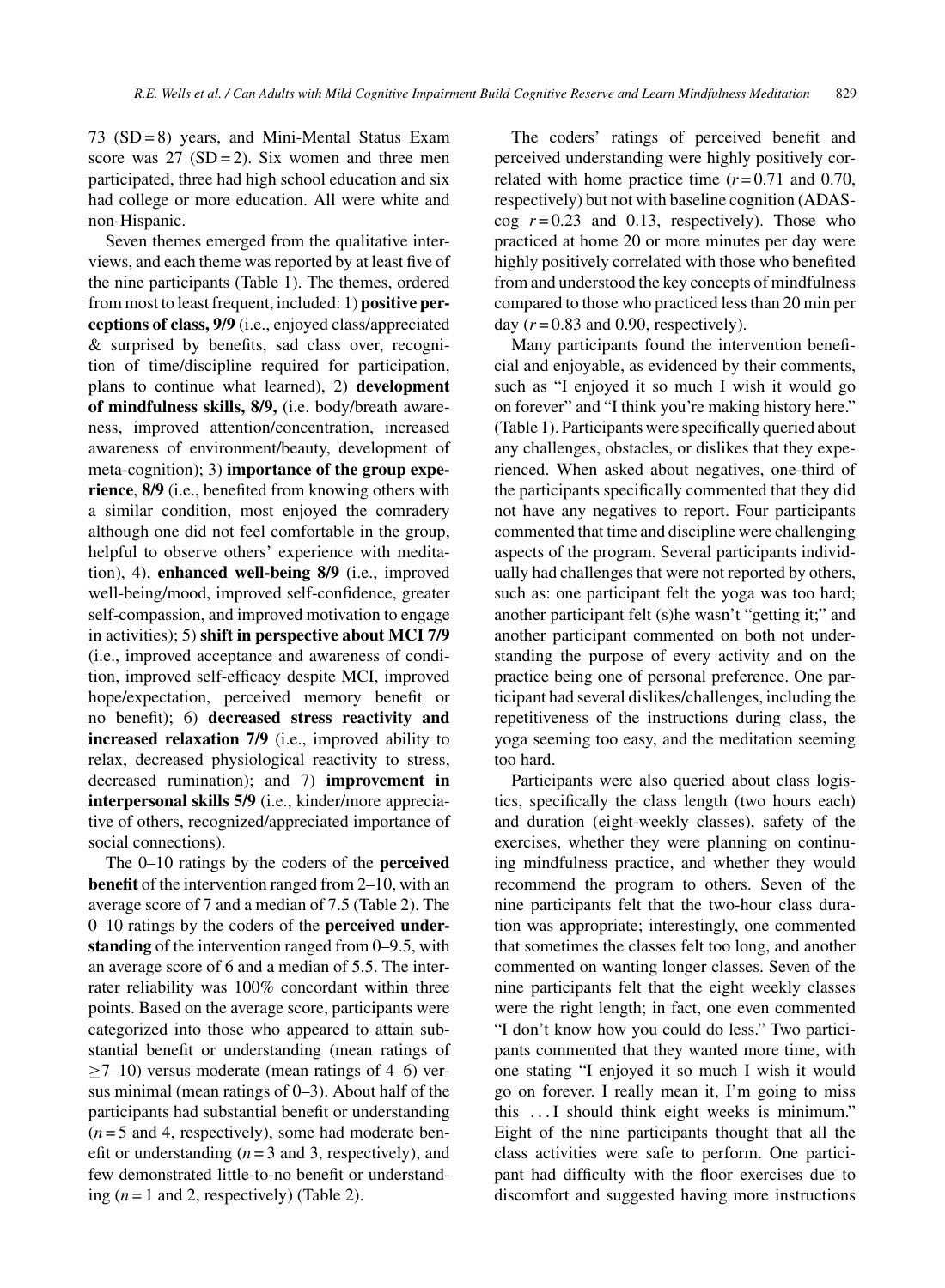73  $(SD = 8)$  years, and Mini-Mental Status Exam score was  $27$  (SD = 2). Six women and three men participated, three had high school education and six had college or more education. All were white and non-Hispanic.

Seven themes emerged from the qualitative interviews, and each theme was reported by at least five of the nine participants (Table 1). The themes, ordered from most to least frequent, included: 1) **positive perceptions of class, 9/9** (i.e., enjoyed class/appreciated & surprised by benefits, sad class over, recognition of time/discipline required for participation, plans to continue what learned), 2) **development of mindfulness skills, 8/9,** (i.e. body/breath awareness, improved attention/concentration, increased awareness of environment/beauty, development of meta-cognition); 3) **importance of the group experience**, **8/9** (i.e., benefited from knowing others with a similar condition, most enjoyed the comradery although one did not feel comfortable in the group, helpful to observe others' experience with meditation), 4), **enhanced well-being 8/9** (i.e., improved well-being/mood, improved self-confidence, greater self-compassion, and improved motivation to engage in activities); 5) **shift in perspective about MCI 7/9** (i.e., improved acceptance and awareness of condition, improved self-efficacy despite MCI, improved hope/expectation, perceived memory benefit or no benefit); 6) **decreased stress reactivity and increased relaxation 7/9** (i.e., improved ability to relax, decreased physiological reactivity to stress, decreased rumination); and 7) **improvement in interpersonal skills 5/9** (i.e., kinder/more appreciative of others, recognized/appreciated importance of social connections).

The 0–10 ratings by the coders of the **perceived benefit** of the intervention ranged from 2–10, with an average score of 7 and a median of 7.5 (Table 2). The 0–10 ratings by the coders of the **perceived understanding** of the intervention ranged from 0–9.5, with an average score of 6 and a median of 5.5. The interrater reliability was 100% concordant within three points. Based on the average score, participants were categorized into those who appeared to attain substantial benefit or understanding (mean ratings of  $>7-10$ ) versus moderate (mean ratings of 4–6) versus minimal (mean ratings of 0–3). About half of the participants had substantial benefit or understanding  $(n=5 \text{ and } 4, \text{ respectively})$ , some had moderate benefit or understanding  $(n=3 \text{ and } 3, \text{ respectively})$ , and few demonstrated little-to-no benefit or understanding  $(n=1 \text{ and } 2, \text{ respectively})$  (Table 2).

The coders' ratings of perceived benefit and perceived understanding were highly positively correlated with home practice time  $(r=0.71$  and 0.70, respectively) but not with baseline cognition (ADAScog  $r = 0.23$  and 0.13, respectively). Those who practiced at home 20 or more minutes per day were highly positively correlated with those who benefited from and understood the key concepts of mindfulness compared to those who practiced less than 20 min per day  $(r=0.83$  and 0.90, respectively).

Many participants found the intervention beneficial and enjoyable, as evidenced by their comments, such as "I enjoyed it so much I wish it would go on forever" and "I think you're making history here." (Table 1). Participants were specifically queried about any challenges, obstacles, or dislikes that they experienced. When asked about negatives, one-third of the participants specifically commented that they did not have any negatives to report. Four participants commented that time and discipline were challenging aspects of the program. Several participants individually had challenges that were not reported by others, such as: one participant felt the yoga was too hard; another participant felt (s)he wasn't "getting it;" and another participant commented on both not understanding the purpose of every activity and on the practice being one of personal preference. One participant had several dislikes/challenges, including the repetitiveness of the instructions during class, the yoga seeming too easy, and the meditation seeming too hard.

Participants were also queried about class logistics, specifically the class length (two hours each) and duration (eight-weekly classes), safety of the exercises, whether they were planning on continuing mindfulness practice, and whether they would recommend the program to others. Seven of the nine participants felt that the two-hour class duration was appropriate; interestingly, one commented that sometimes the classes felt too long, and another commented on wanting longer classes. Seven of the nine participants felt that the eight weekly classes were the right length; in fact, one even commented "I don't know how you could do less." Two participants commented that they wanted more time, with one stating "I enjoyed it so much I wish it would go on forever. I really mean it, I'm going to miss this ... I should think eight weeks is minimum." Eight of the nine participants thought that all the class activities were safe to perform. One participant had difficulty with the floor exercises due to discomfort and suggested having more instructions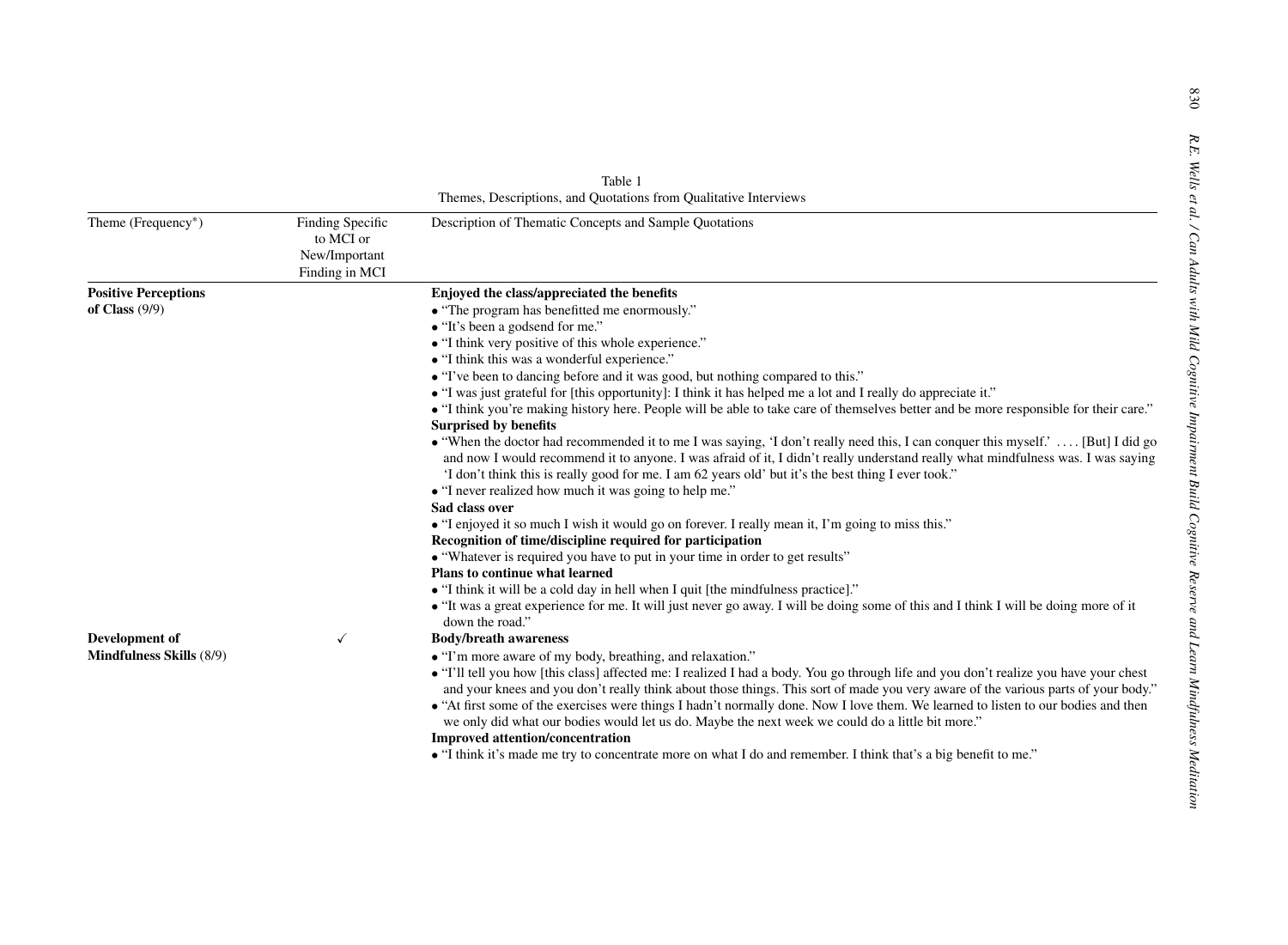| Table 1<br>Themes, Descriptions, and Quotations from Qualitative Interviews |                                                                  |                                                                                                                                                                                                                                                                                                                                                                                                                                       |  |  |  |
|-----------------------------------------------------------------------------|------------------------------------------------------------------|---------------------------------------------------------------------------------------------------------------------------------------------------------------------------------------------------------------------------------------------------------------------------------------------------------------------------------------------------------------------------------------------------------------------------------------|--|--|--|
| Theme (Frequency*)                                                          | Finding Specific<br>to MCI or<br>New/Important<br>Finding in MCI | Description of Thematic Concepts and Sample Quotations                                                                                                                                                                                                                                                                                                                                                                                |  |  |  |
| <b>Positive Perceptions</b>                                                 |                                                                  | Enjoyed the class/appreciated the benefits                                                                                                                                                                                                                                                                                                                                                                                            |  |  |  |
| of Class $(9/9)$                                                            |                                                                  | • "The program has benefitted me enormously."                                                                                                                                                                                                                                                                                                                                                                                         |  |  |  |
|                                                                             |                                                                  | • "It's been a godsend for me."                                                                                                                                                                                                                                                                                                                                                                                                       |  |  |  |
|                                                                             |                                                                  | • "I think very positive of this whole experience."                                                                                                                                                                                                                                                                                                                                                                                   |  |  |  |
|                                                                             |                                                                  | • "I think this was a wonderful experience."                                                                                                                                                                                                                                                                                                                                                                                          |  |  |  |
|                                                                             |                                                                  | • "I've been to dancing before and it was good, but nothing compared to this."                                                                                                                                                                                                                                                                                                                                                        |  |  |  |
|                                                                             |                                                                  | • "I was just grateful for [this opportunity]: I think it has helped me a lot and I really do appreciate it."                                                                                                                                                                                                                                                                                                                         |  |  |  |
|                                                                             |                                                                  | • "I think you're making history here. People will be able to take care of themselves better and be more responsible for their care."                                                                                                                                                                                                                                                                                                 |  |  |  |
|                                                                             |                                                                  | <b>Surprised by benefits</b>                                                                                                                                                                                                                                                                                                                                                                                                          |  |  |  |
|                                                                             |                                                                  | • "When the doctor had recommended it to me I was saying, 'I don't really need this, I can conquer this myself.'  [But] I did go<br>and now I would recommend it to anyone. I was afraid of it, I didn't really understand really what mindfulness was. I was saying<br>'I don't think this is really good for me. I am 62 years old' but it's the best thing I ever took."<br>• "I never realized how much it was going to help me." |  |  |  |
|                                                                             |                                                                  | Sad class over                                                                                                                                                                                                                                                                                                                                                                                                                        |  |  |  |
|                                                                             |                                                                  | • "I enjoyed it so much I wish it would go on forever. I really mean it, I'm going to miss this."<br>Recognition of time/discipline required for participation                                                                                                                                                                                                                                                                        |  |  |  |
|                                                                             |                                                                  | • "Whatever is required you have to put in your time in order to get results"                                                                                                                                                                                                                                                                                                                                                         |  |  |  |
|                                                                             |                                                                  | Plans to continue what learned                                                                                                                                                                                                                                                                                                                                                                                                        |  |  |  |
|                                                                             |                                                                  | • "I think it will be a cold day in hell when I quit [the mindfulness practice]."                                                                                                                                                                                                                                                                                                                                                     |  |  |  |
|                                                                             |                                                                  | • "It was a great experience for me. It will just never go away. I will be doing some of this and I think I will be doing more of it<br>down the road."                                                                                                                                                                                                                                                                               |  |  |  |
| Development of<br><b>Mindfulness Skills (8/9)</b>                           |                                                                  | <b>Body/breath awareness</b>                                                                                                                                                                                                                                                                                                                                                                                                          |  |  |  |
|                                                                             |                                                                  | • "I'm more aware of my body, breathing, and relaxation."                                                                                                                                                                                                                                                                                                                                                                             |  |  |  |
|                                                                             |                                                                  | . "I'll tell you how [this class] affected me: I realized I had a body. You go through life and you don't realize you have your chest<br>and your knees and you don't really think about those things. This sort of made you very aware of the various parts of your body."                                                                                                                                                           |  |  |  |
|                                                                             |                                                                  | • "At first some of the exercises were things I hadn't normally done. Now I love them. We learned to listen to our bodies and then<br>we only did what our bodies would let us do. Maybe the next week we could do a little bit more."                                                                                                                                                                                                |  |  |  |
|                                                                             |                                                                  | <b>Improved attention/concentration</b>                                                                                                                                                                                                                                                                                                                                                                                               |  |  |  |
|                                                                             |                                                                  | • "I think it's made me try to concentrate more on what I do and remember. I think that's a big benefit to me."                                                                                                                                                                                                                                                                                                                       |  |  |  |
|                                                                             |                                                                  |                                                                                                                                                                                                                                                                                                                                                                                                                                       |  |  |  |
|                                                                             |                                                                  |                                                                                                                                                                                                                                                                                                                                                                                                                                       |  |  |  |

| Table 1                                                         |  |
|-----------------------------------------------------------------|--|
| hemes, Descriptions, and Quotations from Qualitative Interviews |  |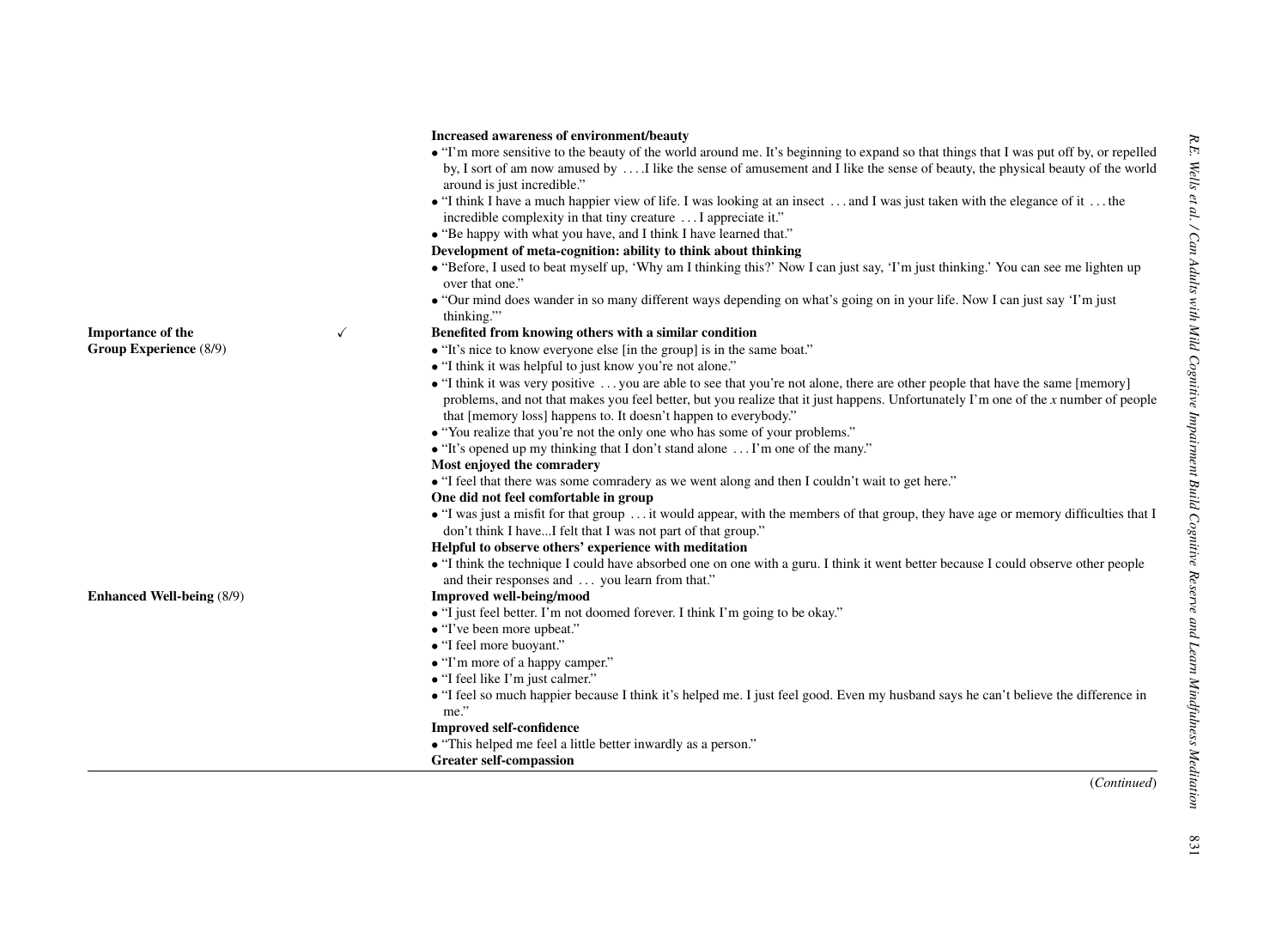- "I'm more sensitive to the beauty of the world around me. It's beginning to expand so that things that I was pu<sup>t</sup> off by, or repelled by, I sort of am now amused by ... .I like the sense of amusement and I like the sense of beauty, the physical beauty of the world around is just incredible."
- "I think I have a much happier view of life. I was looking at an insect  $\dots$  and I was just taken with the elegance of it  $\dots$  the incredible complexity in that tiny creature ... I appreciate it."
- "Be happy with what you have, and I think I have learned that."
- **Development of meta-cognition: ability to think about thinking**
- "Before, I used to beat myself up, 'Why am I thinking this?' Now I can just say, 'I'm just thinking.' You can see me lighten up over that one."
- "Our mind does wander in so many different ways depending on what's going on in your life. Now I can just say 'I'm just thinking."'

#### **Benefited from knowing others with <sup>a</sup> similar condition**

- "It's nice to know everyone else [in the group] is in the same boat."
- "I think it was helpful to just know you're not alone."
- **Increased and reaches the set of the set of the set of the set of the set of the set of the set of the set of the set of the set of the set of the set of the set of the set of the set of the set of the set of the set of** • "I think it was very positive ... you are able to see that you're not alone, there are other people that have the same [memory] problems, and not that makes you feel better, but you realize that it just happens. Unfortunately I'm one of the *<sup>x</sup>* number of people that [memory loss] happens to. It doesn't happen to everybody."
- "You realize that you're not the only one who has some of your problems."
- "It's opened up my thinking that I don't stand alone ... I'm one of the many."

#### **Most enjoyed the comradery**

• "I feel that there was some comradery as we went along and then I couldn't wait to get here."

#### **One did not feel comfortable in group**

• "I was just a misfit for that group ... it would appear, with the members of that group, they have age or memory difficulties that I don't think I have...I felt that I was not par<sup>t</sup> of that group."

#### **Helpful to observe others' experience with meditation**

• "I think the technique I could have absorbed one on one with <sup>a</sup> guru. I think it went better because I could observe other people and their responses and ... you learn from that."

#### **Enhanced Well-being** (8/9) **Improved well-being/mood**

- "I just feel better. I'm not doomed forever. I think I'm going to be okay."
- "I've been more upbeat."
- "I feel more buoyant."
- "I'm more of a happy camper."
- "I feel like I'm just calmer."
- "I feel so much happier because I think it's helped me. I just feel good. Even my husband says he can't believe the difference in me."

#### **Improved self-confidence**

- "This helped me feel <sup>a</sup> little better inwardly as <sup>a</sup> person."
- **Greater self-compassion**

(*Continued*)

# **Importance of the**

 $\cdot$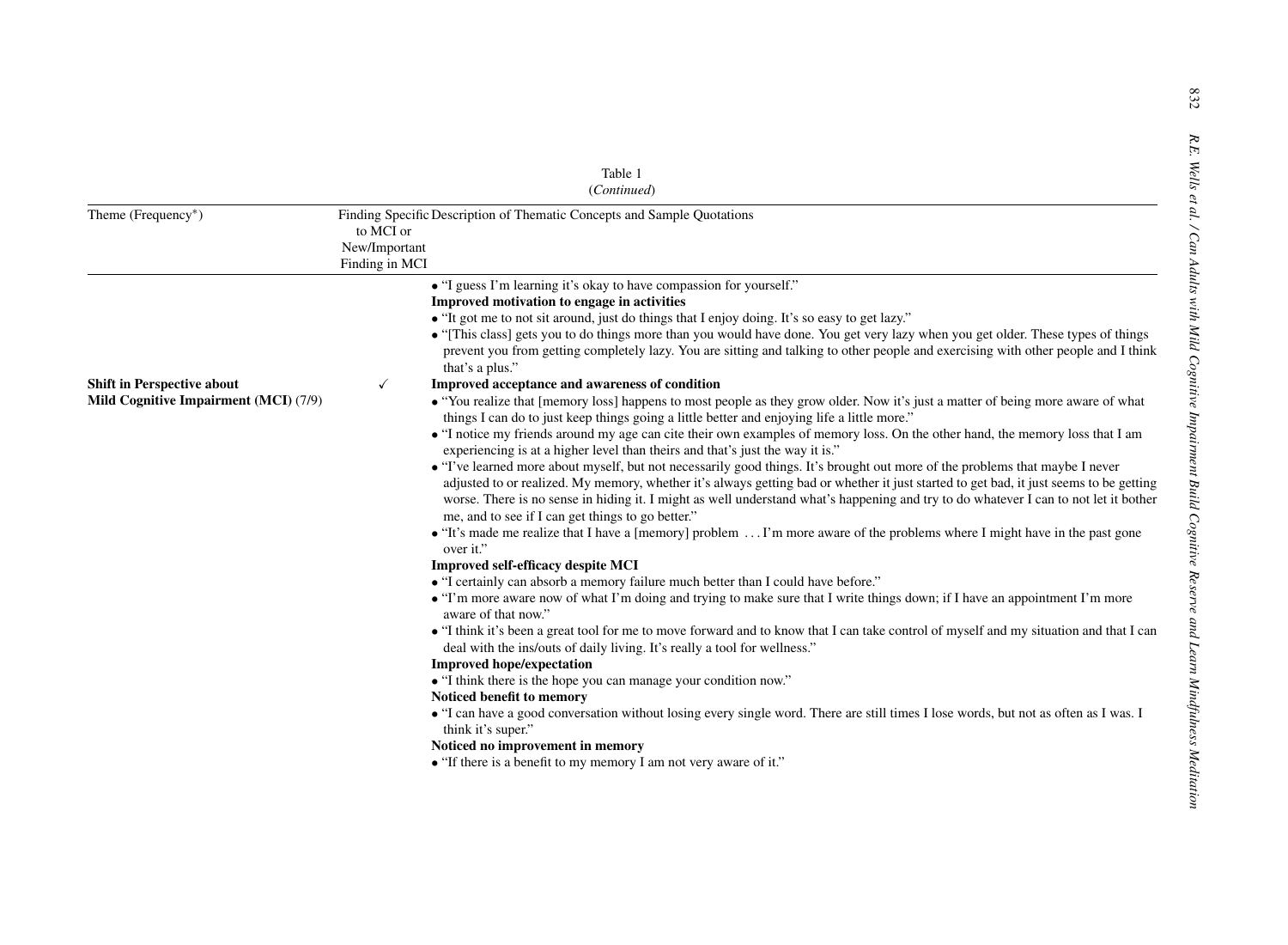|                                                                            | Table 1                                                                                                                                                                                                                                                                                                                                                                                                                                                                                                                                                                                                                                                                                                                                                                                                                                                                                                                                                                                                                                                                                                                                                                                                                                                                                                                                                                                                                                                                                                                                                                                                                                                                                                                                                                                                                                                                                                                                                                                                                                                                                                                                                                                                                                                                                                                                                                                                                                                                                                                                                                         |  |  |
|----------------------------------------------------------------------------|---------------------------------------------------------------------------------------------------------------------------------------------------------------------------------------------------------------------------------------------------------------------------------------------------------------------------------------------------------------------------------------------------------------------------------------------------------------------------------------------------------------------------------------------------------------------------------------------------------------------------------------------------------------------------------------------------------------------------------------------------------------------------------------------------------------------------------------------------------------------------------------------------------------------------------------------------------------------------------------------------------------------------------------------------------------------------------------------------------------------------------------------------------------------------------------------------------------------------------------------------------------------------------------------------------------------------------------------------------------------------------------------------------------------------------------------------------------------------------------------------------------------------------------------------------------------------------------------------------------------------------------------------------------------------------------------------------------------------------------------------------------------------------------------------------------------------------------------------------------------------------------------------------------------------------------------------------------------------------------------------------------------------------------------------------------------------------------------------------------------------------------------------------------------------------------------------------------------------------------------------------------------------------------------------------------------------------------------------------------------------------------------------------------------------------------------------------------------------------------------------------------------------------------------------------------------------------|--|--|
|                                                                            | (Continued)                                                                                                                                                                                                                                                                                                                                                                                                                                                                                                                                                                                                                                                                                                                                                                                                                                                                                                                                                                                                                                                                                                                                                                                                                                                                                                                                                                                                                                                                                                                                                                                                                                                                                                                                                                                                                                                                                                                                                                                                                                                                                                                                                                                                                                                                                                                                                                                                                                                                                                                                                                     |  |  |
| Theme (Frequency*)                                                         | Finding Specific Description of Thematic Concepts and Sample Quotations<br>to MCI or<br>New/Important<br>Finding in MCI                                                                                                                                                                                                                                                                                                                                                                                                                                                                                                                                                                                                                                                                                                                                                                                                                                                                                                                                                                                                                                                                                                                                                                                                                                                                                                                                                                                                                                                                                                                                                                                                                                                                                                                                                                                                                                                                                                                                                                                                                                                                                                                                                                                                                                                                                                                                                                                                                                                         |  |  |
| <b>Shift in Perspective about</b><br>Mild Cognitive Impairment (MCI) (7/9) | • "I guess I'm learning it's okay to have compassion for yourself."<br>Improved motivation to engage in activities<br>• "It got me to not sit around, just do things that I enjoy doing. It's so easy to get lazy."<br>• "[This class] gets you to do things more than you would have done. You get very lazy when you get older. These types of things<br>prevent you from getting completely lazy. You are sitting and talking to other people and exercising with other people and I think<br>that's a plus."<br>Improved acceptance and awareness of condition<br>✓<br>. "You realize that [memory loss] happens to most people as they grow older. Now it's just a matter of being more aware of what<br>things I can do to just keep things going a little better and enjoying life a little more."<br>• "I notice my friends around my age can cite their own examples of memory loss. On the other hand, the memory loss that I am<br>experiencing is at a higher level than theirs and that's just the way it is."<br>• "I've learned more about myself, but not necessarily good things. It's brought out more of the problems that maybe I never<br>adjusted to or realized. My memory, whether it's always getting bad or whether it just started to get bad, it just seems to be getting<br>worse. There is no sense in hiding it. I might as well understand what's happening and try to do whatever I can to not let it bother<br>me, and to see if I can get things to go better."<br>• "It's made me realize that I have a [memory] problem $\dots$ I'm more aware of the problems where I might have in the past gone<br>over it."<br><b>Improved self-efficacy despite MCI</b><br>• "I certainly can absorb a memory failure much better than I could have before."<br>• "I'm more aware now of what I'm doing and trying to make sure that I write things down; if I have an appointment I'm more<br>aware of that now."<br>• "I think it's been a great tool for me to move forward and to know that I can take control of myself and my situation and that I can<br>deal with the ins/outs of daily living. It's really a tool for wellness."<br><b>Improved hope/expectation</b><br>• "I think there is the hope you can manage your condition now."<br>Noticed benefit to memory<br>• "I can have a good conversation without losing every single word. There are still times I lose words, but not as often as I was. I<br>think it's super."<br>Noticed no improvement in memory<br>• "If there is a benefit to my memory I am not very aware of it." |  |  |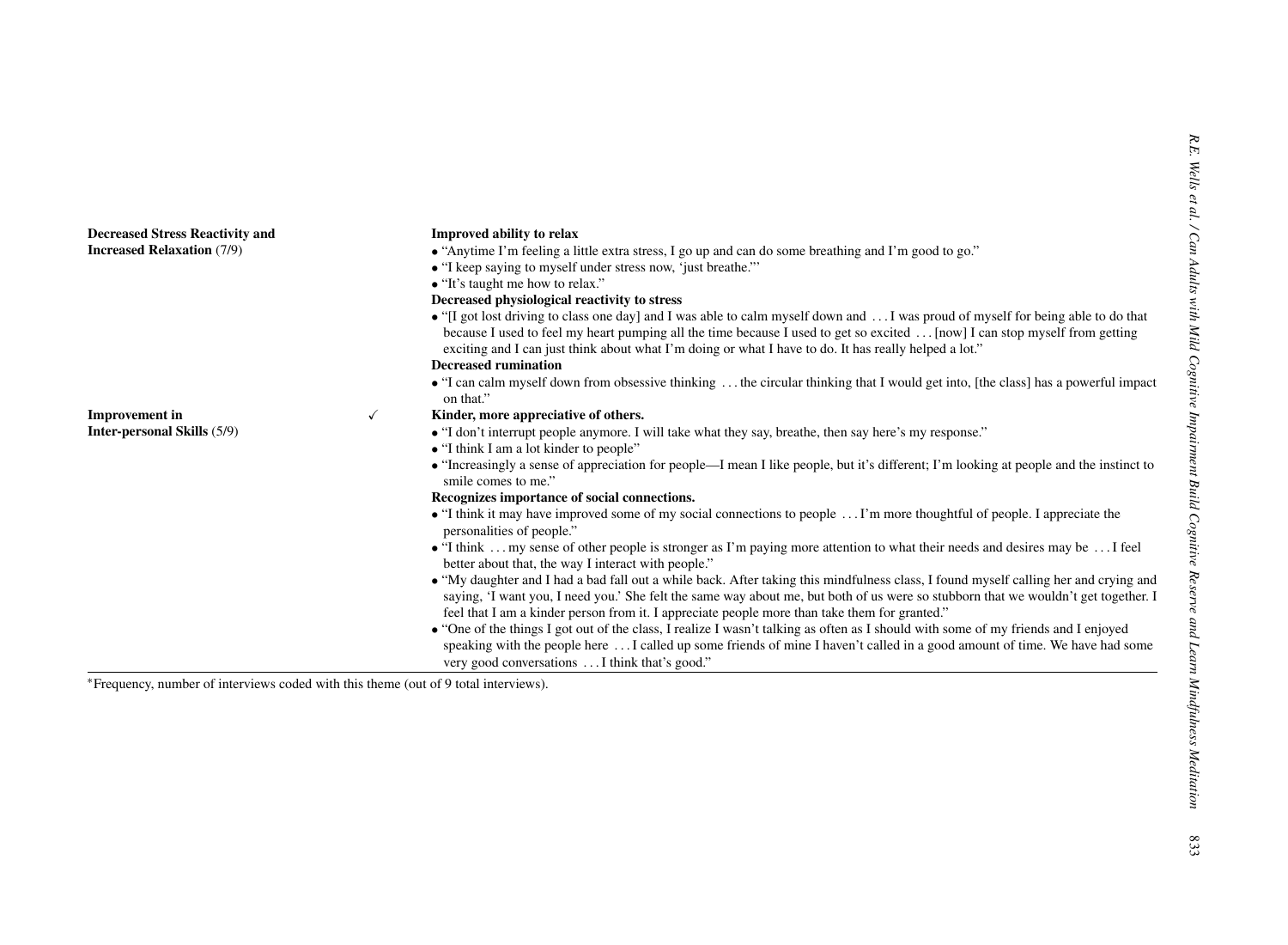| <b>Decreased Stress Reactivity and</b><br><b>Increased Relaxation (7/9)</b>         | Improved ability to relax<br>• "Anytime I'm feeling a little extra stress, I go up and can do some breathing and I'm good to go."<br>• "I keep saying to myself under stress now, 'just breathe."<br>• "It's taught me how to relax."<br>Decreased physiological reactivity to stress<br>• "[I got lost driving to class one day] and I was able to calm myself down and  I was proud of myself for being able to do that<br>because I used to feel my heart pumping all the time because I used to get so excited  [now] I can stop myself from getting<br>exciting and I can just think about what I'm doing or what I have to do. It has really helped a lot."<br><b>Decreased rumination</b><br>• "I can calm myself down from obsessive thinking  the circular thinking that I would get into, [the class] has a powerful impact<br>on that."                                                                                                                                                                                                                                                                                                                                                                                                                                                                                                                                                                                                                                      | ijη<br>Mild Cogn                |
|-------------------------------------------------------------------------------------|-----------------------------------------------------------------------------------------------------------------------------------------------------------------------------------------------------------------------------------------------------------------------------------------------------------------------------------------------------------------------------------------------------------------------------------------------------------------------------------------------------------------------------------------------------------------------------------------------------------------------------------------------------------------------------------------------------------------------------------------------------------------------------------------------------------------------------------------------------------------------------------------------------------------------------------------------------------------------------------------------------------------------------------------------------------------------------------------------------------------------------------------------------------------------------------------------------------------------------------------------------------------------------------------------------------------------------------------------------------------------------------------------------------------------------------------------------------------------------------------|---------------------------------|
| Improvement in<br>Inter-personal Skills (5/9)                                       | Kinder, more appreciative of others.<br>$\checkmark$<br>• "I don't interrupt people anymore. I will take what they say, breathe, then say here's my response."<br>• "I think I am a lot kinder to people"<br>• "Increasingly a sense of appreciation for people—I mean I like people, but it's different; I'm looking at people and the instinct to<br>smile comes to me."<br>Recognizes importance of social connections.<br>• "I think it may have improved some of my social connections to people $\dots$ I'm more thoughtful of people. I appreciate the<br>personalities of people."<br>• "I think  my sense of other people is stronger as I'm paying more attention to what their needs and desires may be  I feel<br>better about that, the way I interact with people."<br>. "My daughter and I had a bad fall out a while back. After taking this mindfulness class, I found myself calling her and crying and<br>saying, 'I want you, I need you.' She felt the same way about me, but both of us were so stubborn that we wouldn't get together. I<br>feel that I am a kinder person from it. I appreciate people more than take them for granted."<br>• "One of the things I got out of the class, I realize I wasn't talking as often as I should with some of my friends and I enjoyed<br>speaking with the people here  I called up some friends of mine I haven't called in a good amount of time. We have had some<br>very good conversations  I think that's good." | Build Cognitive<br>Ř            |
| *Frequency, number of interviews coded with this theme (out of 9 total interviews). |                                                                                                                                                                                                                                                                                                                                                                                                                                                                                                                                                                                                                                                                                                                                                                                                                                                                                                                                                                                                                                                                                                                                                                                                                                                                                                                                                                                                                                                                                         | Mindfulness<br>Meditation<br>53 |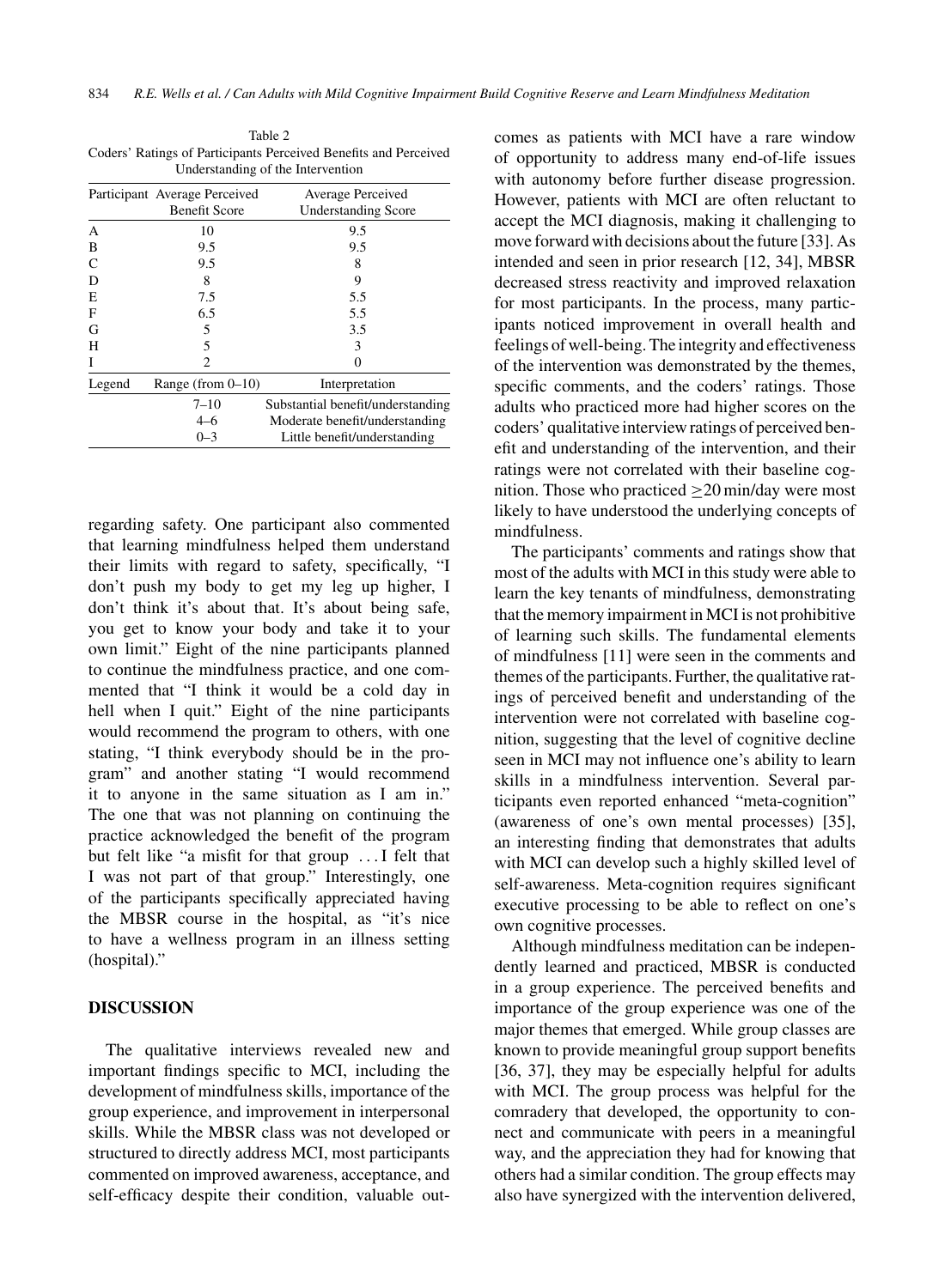| Table 2<br>Coders' Ratings of Participants Perceived Benefits and Perceived<br>Understanding of the Intervention |                                                       |                                                        |  |  |  |
|------------------------------------------------------------------------------------------------------------------|-------------------------------------------------------|--------------------------------------------------------|--|--|--|
|                                                                                                                  | Participant Average Perceived<br><b>Benefit Score</b> | <b>Average Perceived</b><br><b>Understanding Score</b> |  |  |  |
| A                                                                                                                | 10                                                    | 9.5                                                    |  |  |  |
| B                                                                                                                | 9.5                                                   | 9.5                                                    |  |  |  |
| C                                                                                                                | 9.5                                                   | 8                                                      |  |  |  |
| D                                                                                                                | 8                                                     | 9                                                      |  |  |  |
| E                                                                                                                | 7.5                                                   | 5.5                                                    |  |  |  |
| F                                                                                                                | 6.5                                                   | 5.5                                                    |  |  |  |
| G                                                                                                                | 5                                                     | 3.5                                                    |  |  |  |
| H                                                                                                                | 5                                                     | 3                                                      |  |  |  |
| I                                                                                                                | 2                                                     | 0                                                      |  |  |  |
| Legend                                                                                                           | Range (from $0-10$ )                                  | Interpretation                                         |  |  |  |
|                                                                                                                  | 7–10                                                  | Substantial benefit/understanding                      |  |  |  |
|                                                                                                                  | 4–6                                                   | Moderate benefit/understanding                         |  |  |  |
|                                                                                                                  | $0 - 3$                                               | Little benefit/understanding                           |  |  |  |

regarding safety. One participant also commented that learning mindfulness helped them understand their limits with regard to safety, specifically, "I don't push my body to get my leg up higher, I don't think it's about that. It's about being safe, you get to know your body and take it to your own limit." Eight of the nine participants planned to continue the mindfulness practice, and one commented that "I think it would be a cold day in hell when I quit." Eight of the nine participants would recommend the program to others, with one stating, "I think everybody should be in the program" and another stating "I would recommend it to anyone in the same situation as I am in." The one that was not planning on continuing the practice acknowledged the benefit of the program but felt like "a misfit for that group ... I felt that I was not part of that group." Interestingly, one of the participants specifically appreciated having the MBSR course in the hospital, as "it's nice to have a wellness program in an illness setting (hospital)."

#### **DISCUSSION**

The qualitative interviews revealed new and important findings specific to MCI, including the development of mindfulness skills, importance of the group experience, and improvement in interpersonal skills. While the MBSR class was not developed or structured to directly address MCI, most participants commented on improved awareness, acceptance, and self-efficacy despite their condition, valuable outcomes as patients with MCI have a rare window of opportunity to address many end-of-life issues with autonomy before further disease progression. However, patients with MCI are often reluctant to accept the MCI diagnosis, making it challenging to move forward with decisions about the future [33]. As intended and seen in prior research [12, 34], MBSR decreased stress reactivity and improved relaxation for most participants. In the process, many participants noticed improvement in overall health and feelings of well-being. The integrity and effectiveness of the intervention was demonstrated by the themes, specific comments, and the coders' ratings. Those adults who practiced more had higher scores on the coders' qualitative interview ratings of perceived benefit and understanding of the intervention, and their ratings were not correlated with their baseline cognition. Those who practiced  $\geq$ 20 min/day were most likely to have understood the underlying concepts of mindfulness.

The participants' comments and ratings show that most of the adults with MCI in this study were able to learn the key tenants of mindfulness, demonstrating that the memory impairment in MCI is not prohibitive of learning such skills. The fundamental elements of mindfulness [11] were seen in the comments and themes of the participants. Further, the qualitative ratings of perceived benefit and understanding of the intervention were not correlated with baseline cognition, suggesting that the level of cognitive decline seen in MCI may not influence one's ability to learn skills in a mindfulness intervention. Several participants even reported enhanced "meta-cognition" (awareness of one's own mental processes) [35], an interesting finding that demonstrates that adults with MCI can develop such a highly skilled level of self-awareness. Meta-cognition requires significant executive processing to be able to reflect on one's own cognitive processes.

Although mindfulness meditation can be independently learned and practiced, MBSR is conducted in a group experience. The perceived benefits and importance of the group experience was one of the major themes that emerged. While group classes are known to provide meaningful group support benefits [36, 37], they may be especially helpful for adults with MCI. The group process was helpful for the comradery that developed, the opportunity to connect and communicate with peers in a meaningful way, and the appreciation they had for knowing that others had a similar condition. The group effects may also have synergized with the intervention delivered,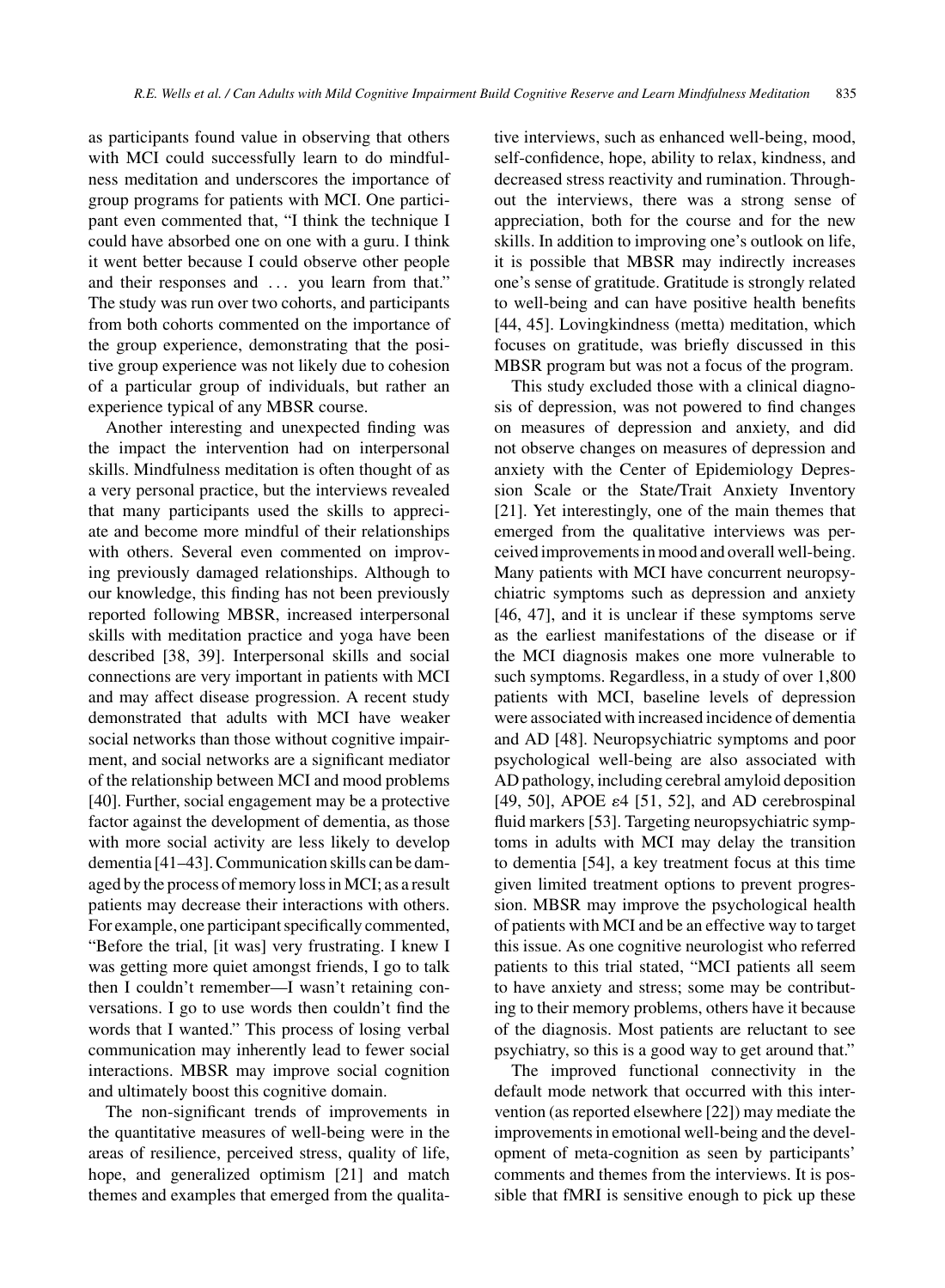as participants found value in observing that others with MCI could successfully learn to do mindfulness meditation and underscores the importance of group programs for patients with MCI. One participant even commented that, "I think the technique I could have absorbed one on one with a guru. I think it went better because I could observe other people and their responses and ... you learn from that." The study was run over two cohorts, and participants from both cohorts commented on the importance of the group experience, demonstrating that the positive group experience was not likely due to cohesion of a particular group of individuals, but rather an experience typical of any MBSR course.

Another interesting and unexpected finding was the impact the intervention had on interpersonal skills. Mindfulness meditation is often thought of as a very personal practice, but the interviews revealed that many participants used the skills to appreciate and become more mindful of their relationships with others. Several even commented on improving previously damaged relationships. Although to our knowledge, this finding has not been previously reported following MBSR, increased interpersonal skills with meditation practice and yoga have been described [38, 39]. Interpersonal skills and social connections are very important in patients with MCI and may affect disease progression. A recent study demonstrated that adults with MCI have weaker social networks than those without cognitive impairment, and social networks are a significant mediator of the relationship between MCI and mood problems [40]. Further, social engagement may be a protective factor against the development of dementia, as those with more social activity are less likely to develop dementia [41–43]. Communication skills can be damaged by the process of memory loss in MCI; as a result patients may decrease their interactions with others. For example, one participant specifically commented, "Before the trial, [it was] very frustrating. I knew I was getting more quiet amongst friends, I go to talk then I couldn't remember—I wasn't retaining conversations. I go to use words then couldn't find the words that I wanted." This process of losing verbal communication may inherently lead to fewer social interactions. MBSR may improve social cognition and ultimately boost this cognitive domain.

The non-significant trends of improvements in the quantitative measures of well-being were in the areas of resilience, perceived stress, quality of life, hope, and generalized optimism [21] and match themes and examples that emerged from the qualitative interviews, such as enhanced well-being, mood, self-confidence, hope, ability to relax, kindness, and decreased stress reactivity and rumination. Throughout the interviews, there was a strong sense of appreciation, both for the course and for the new skills. In addition to improving one's outlook on life, it is possible that MBSR may indirectly increases one's sense of gratitude. Gratitude is strongly related to well-being and can have positive health benefits [44, 45]. Lovingkindness (metta) meditation, which focuses on gratitude, was briefly discussed in this MBSR program but was not a focus of the program.

This study excluded those with a clinical diagnosis of depression, was not powered to find changes on measures of depression and anxiety, and did not observe changes on measures of depression and anxiety with the Center of Epidemiology Depression Scale or the State/Trait Anxiety Inventory [21]. Yet interestingly, one of the main themes that emerged from the qualitative interviews was perceived improvements in mood and overall well-being. Many patients with MCI have concurrent neuropsychiatric symptoms such as depression and anxiety [46, 47], and it is unclear if these symptoms serve as the earliest manifestations of the disease or if the MCI diagnosis makes one more vulnerable to such symptoms. Regardless, in a study of over 1,800 patients with MCI, baseline levels of depression were associated with increased incidence of dementia and AD [48]. Neuropsychiatric symptoms and poor psychological well-being are also associated with AD pathology, including cerebral amyloid deposition [49, 50], APOE  $\varepsilon$ 4 [51, 52], and AD cerebrospinal fluid markers [53]. Targeting neuropsychiatric symptoms in adults with MCI may delay the transition to dementia [54], a key treatment focus at this time given limited treatment options to prevent progression. MBSR may improve the psychological health of patients with MCI and be an effective way to target this issue. As one cognitive neurologist who referred patients to this trial stated, "MCI patients all seem to have anxiety and stress; some may be contributing to their memory problems, others have it because of the diagnosis. Most patients are reluctant to see psychiatry, so this is a good way to get around that."

The improved functional connectivity in the default mode network that occurred with this intervention (as reported elsewhere [22]) may mediate the improvements in emotional well-being and the development of meta-cognition as seen by participants' comments and themes from the interviews. It is possible that fMRI is sensitive enough to pick up these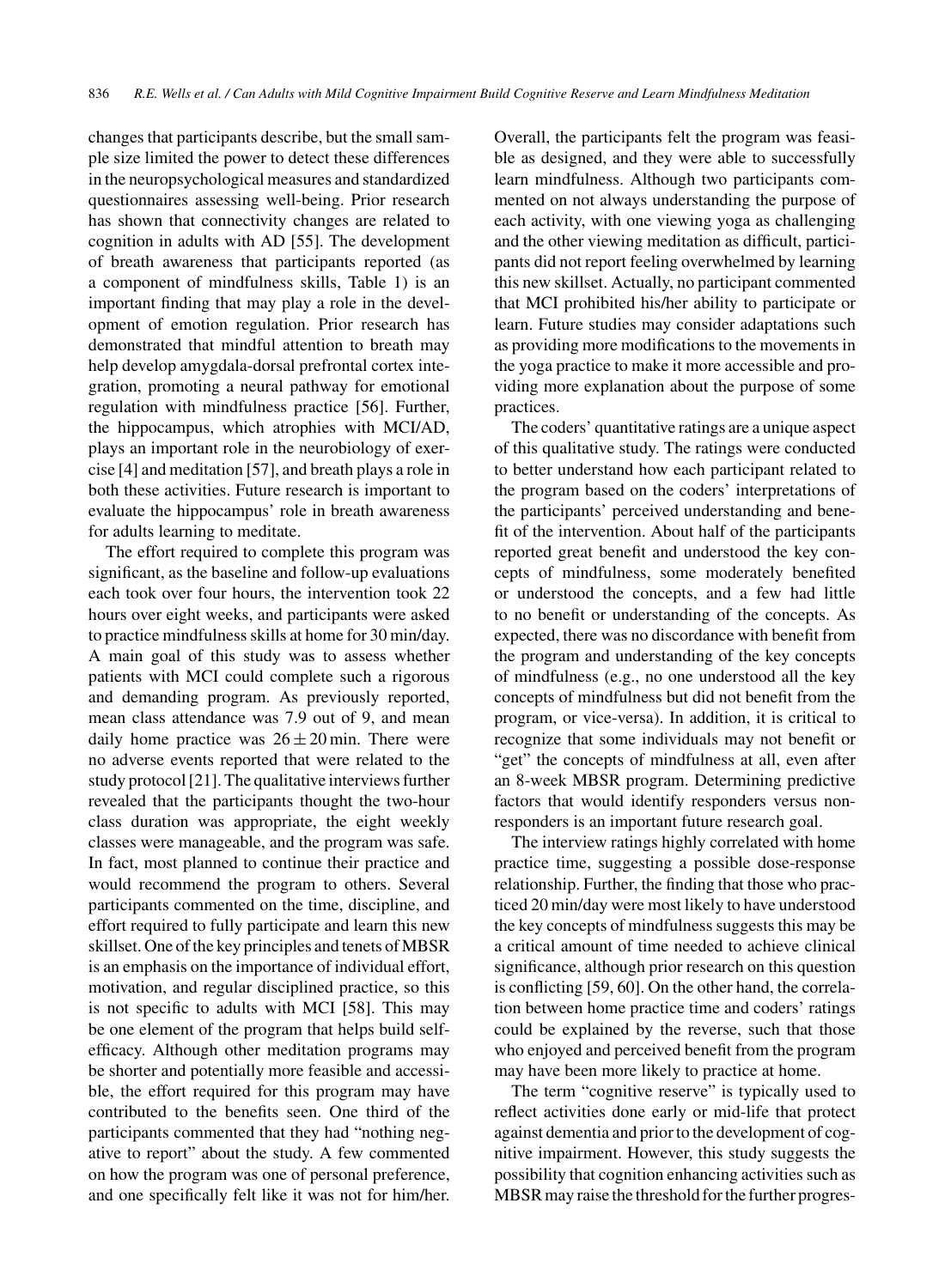changes that participants describe, but the small sample size limited the power to detect these differences in the neuropsychological measures and standardized questionnaires assessing well-being. Prior research has shown that connectivity changes are related to cognition in adults with AD [55]. The development of breath awareness that participants reported (as a component of mindfulness skills, Table 1) is an important finding that may play a role in the development of emotion regulation. Prior research has demonstrated that mindful attention to breath may help develop amygdala-dorsal prefrontal cortex integration, promoting a neural pathway for emotional regulation with mindfulness practice [56]. Further, the hippocampus, which atrophies with MCI/AD, plays an important role in the neurobiology of exercise [4] and meditation [57], and breath plays a role in both these activities. Future research is important to evaluate the hippocampus' role in breath awareness for adults learning to meditate.

The effort required to complete this program was significant, as the baseline and follow-up evaluations each took over four hours, the intervention took 22 hours over eight weeks, and participants were asked to practice mindfulness skills at home for 30 min/day. A main goal of this study was to assess whether patients with MCI could complete such a rigorous and demanding program. As previously reported, mean class attendance was 7.9 out of 9, and mean daily home practice was  $26 \pm 20$  min. There were no adverse events reported that were related to the study protocol [21]. The qualitative interviews further revealed that the participants thought the two-hour class duration was appropriate, the eight weekly classes were manageable, and the program was safe. In fact, most planned to continue their practice and would recommend the program to others. Several participants commented on the time, discipline, and effort required to fully participate and learn this new skillset. One of the key principles and tenets of MBSR is an emphasis on the importance of individual effort, motivation, and regular disciplined practice, so this is not specific to adults with MCI [58]. This may be one element of the program that helps build selfefficacy. Although other meditation programs may be shorter and potentially more feasible and accessible, the effort required for this program may have contributed to the benefits seen. One third of the participants commented that they had "nothing negative to report" about the study. A few commented on how the program was one of personal preference, and one specifically felt like it was not for him/her.

Overall, the participants felt the program was feasible as designed, and they were able to successfully learn mindfulness. Although two participants commented on not always understanding the purpose of each activity, with one viewing yoga as challenging and the other viewing meditation as difficult, participants did not report feeling overwhelmed by learning this new skillset. Actually, no participant commented that MCI prohibited his/her ability to participate or learn. Future studies may consider adaptations such as providing more modifications to the movements in the yoga practice to make it more accessible and providing more explanation about the purpose of some practices.

The coders' quantitative ratings are a unique aspect of this qualitative study. The ratings were conducted to better understand how each participant related to the program based on the coders' interpretations of the participants' perceived understanding and benefit of the intervention. About half of the participants reported great benefit and understood the key concepts of mindfulness, some moderately benefited or understood the concepts, and a few had little to no benefit or understanding of the concepts. As expected, there was no discordance with benefit from the program and understanding of the key concepts of mindfulness (e.g., no one understood all the key concepts of mindfulness but did not benefit from the program, or vice-versa). In addition, it is critical to recognize that some individuals may not benefit or "get" the concepts of mindfulness at all, even after an 8-week MBSR program. Determining predictive factors that would identify responders versus nonresponders is an important future research goal.

The interview ratings highly correlated with home practice time, suggesting a possible dose-response relationship. Further, the finding that those who practiced 20 min/day were most likely to have understood the key concepts of mindfulness suggests this may be a critical amount of time needed to achieve clinical significance, although prior research on this question is conflicting [59, 60]. On the other hand, the correlation between home practice time and coders' ratings could be explained by the reverse, such that those who enjoyed and perceived benefit from the program may have been more likely to practice at home.

The term "cognitive reserve" is typically used to reflect activities done early or mid-life that protect against dementia and prior to the development of cognitive impairment. However, this study suggests the possibility that cognition enhancing activities such as MBSR may raise the threshold for the further progres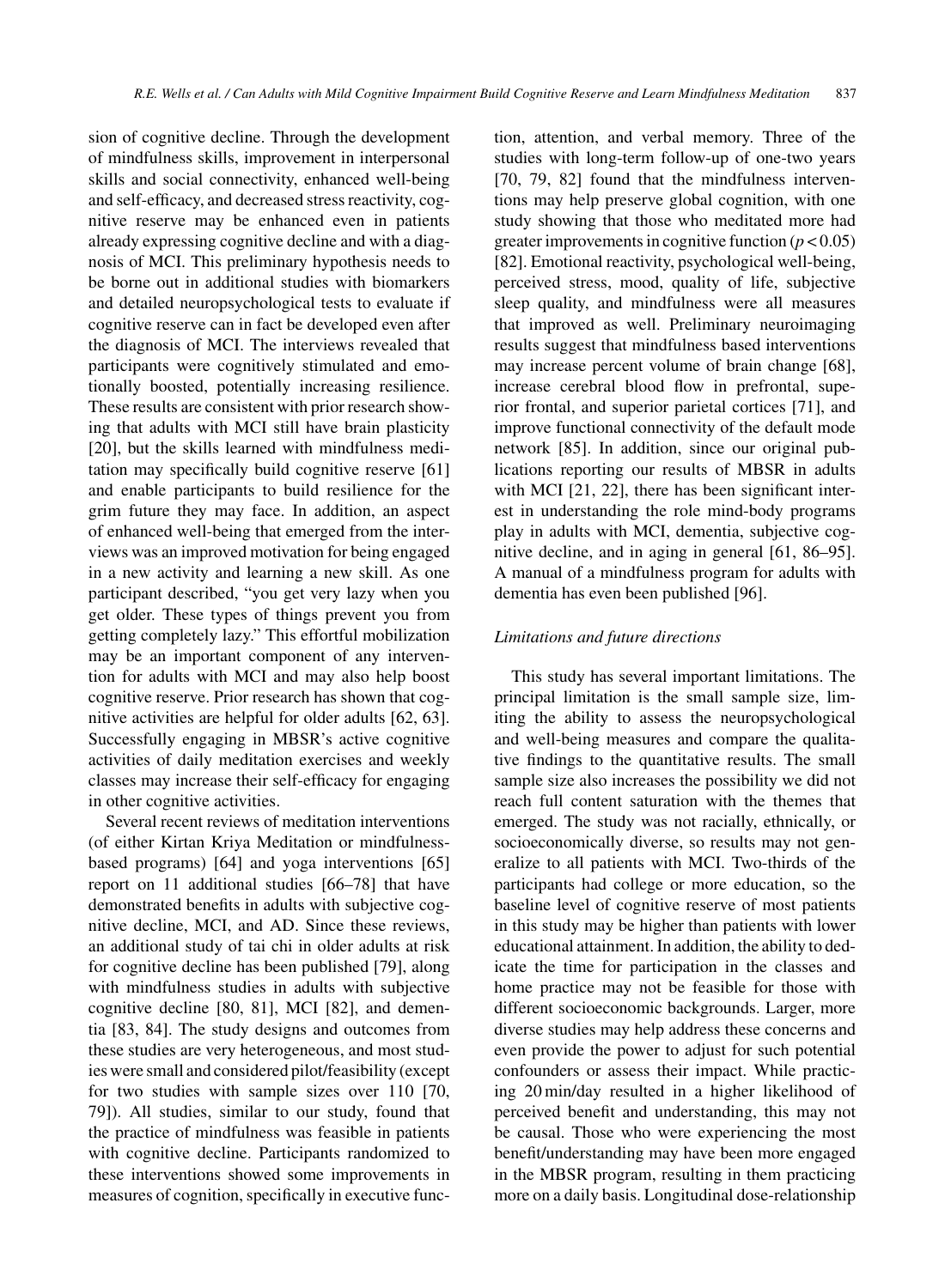sion of cognitive decline. Through the development of mindfulness skills, improvement in interpersonal skills and social connectivity, enhanced well-being and self-efficacy, and decreased stress reactivity, cognitive reserve may be enhanced even in patients already expressing cognitive decline and with a diagnosis of MCI. This preliminary hypothesis needs to be borne out in additional studies with biomarkers and detailed neuropsychological tests to evaluate if cognitive reserve can in fact be developed even after the diagnosis of MCI. The interviews revealed that participants were cognitively stimulated and emotionally boosted, potentially increasing resilience. These results are consistent with prior research showing that adults with MCI still have brain plasticity [20], but the skills learned with mindfulness meditation may specifically build cognitive reserve [61] and enable participants to build resilience for the grim future they may face. In addition, an aspect of enhanced well-being that emerged from the interviews was an improved motivation for being engaged in a new activity and learning a new skill. As one participant described, "you get very lazy when you get older. These types of things prevent you from getting completely lazy." This effortful mobilization may be an important component of any intervention for adults with MCI and may also help boost cognitive reserve. Prior research has shown that cognitive activities are helpful for older adults [62, 63]. Successfully engaging in MBSR's active cognitive activities of daily meditation exercises and weekly classes may increase their self-efficacy for engaging in other cognitive activities.

Several recent reviews of meditation interventions (of either Kirtan Kriya Meditation or mindfulnessbased programs) [64] and yoga interventions [65] report on 11 additional studies [66–78] that have demonstrated benefits in adults with subjective cognitive decline, MCI, and AD. Since these reviews, an additional study of tai chi in older adults at risk for cognitive decline has been published [79], along with mindfulness studies in adults with subjective cognitive decline [80, 81], MCI [82], and dementia [83, 84]. The study designs and outcomes from these studies are very heterogeneous, and most studies were small and considered pilot/feasibility (except for two studies with sample sizes over 110 [70, 79]). All studies, similar to our study, found that the practice of mindfulness was feasible in patients with cognitive decline. Participants randomized to these interventions showed some improvements in measures of cognition, specifically in executive function, attention, and verbal memory. Three of the studies with long-term follow-up of one-two years [70, 79, 82] found that the mindfulness interventions may help preserve global cognition, with one study showing that those who meditated more had greater improvements in cognitive function  $(p < 0.05)$ [82]. Emotional reactivity, psychological well-being, perceived stress, mood, quality of life, subjective sleep quality, and mindfulness were all measures that improved as well. Preliminary neuroimaging results suggest that mindfulness based interventions may increase percent volume of brain change [68], increase cerebral blood flow in prefrontal, superior frontal, and superior parietal cortices [71], and improve functional connectivity of the default mode network [85]. In addition, since our original publications reporting our results of MBSR in adults with MCI [21, 22], there has been significant interest in understanding the role mind-body programs play in adults with MCI, dementia, subjective cognitive decline, and in aging in general [61, 86–95]. A manual of a mindfulness program for adults with dementia has even been published [96].

# *Limitations and future directions*

This study has several important limitations. The principal limitation is the small sample size, limiting the ability to assess the neuropsychological and well-being measures and compare the qualitative findings to the quantitative results. The small sample size also increases the possibility we did not reach full content saturation with the themes that emerged. The study was not racially, ethnically, or socioeconomically diverse, so results may not generalize to all patients with MCI. Two-thirds of the participants had college or more education, so the baseline level of cognitive reserve of most patients in this study may be higher than patients with lower educational attainment. In addition, the ability to dedicate the time for participation in the classes and home practice may not be feasible for those with different socioeconomic backgrounds. Larger, more diverse studies may help address these concerns and even provide the power to adjust for such potential confounders or assess their impact. While practicing 20 min/day resulted in a higher likelihood of perceived benefit and understanding, this may not be causal. Those who were experiencing the most benefit/understanding may have been more engaged in the MBSR program, resulting in them practicing more on a daily basis. Longitudinal dose-relationship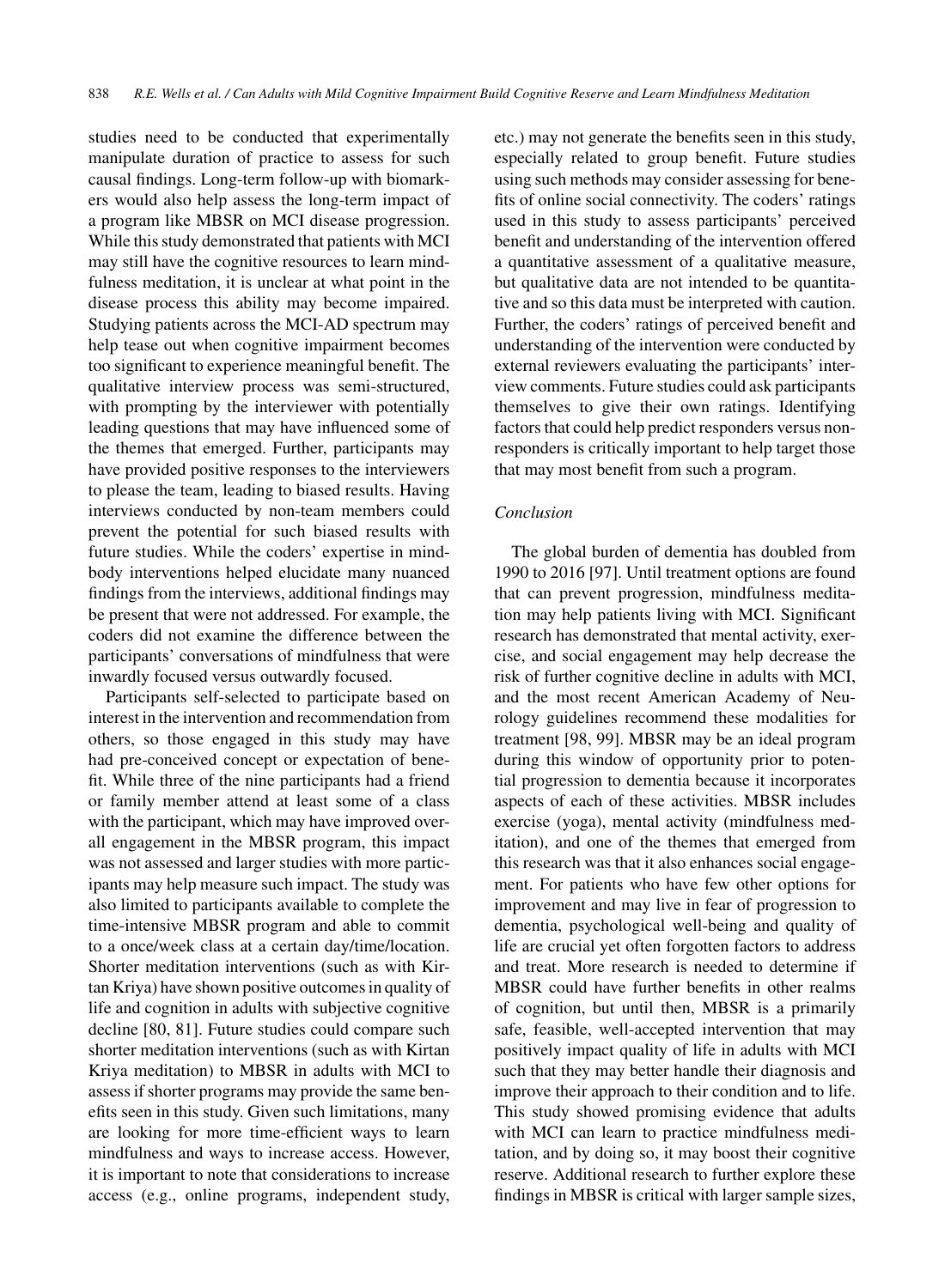studies need to be conducted that experimentally manipulate duration of practice to assess for such causal findings. Long-term follow-up with biomarkers would also help assess the long-term impact of a program like MBSR on MCI disease progression. While this study demonstrated that patients with MCI may still have the cognitive resources to learn mindfulness meditation, it is unclear at what point in the disease process this ability may become impaired. Studying patients across the MCI-AD spectrum may help tease out when cognitive impairment becomes too significant to experience meaningful benefit. The qualitative interview process was semi-structured, with prompting by the interviewer with potentially leading questions that may have influenced some of the themes that emerged. Further, participants may have provided positive responses to the interviewers to please the team, leading to biased results. Having interviews conducted by non-team members could prevent the potential for such biased results with future studies. While the coders' expertise in mindbody interventions helped elucidate many nuanced findings from the interviews, additional findings may be present that were not addressed. For example, the coders did not examine the difference between the participants' conversations of mindfulness that were inwardly focused versus outwardly focused.

Participants self-selected to participate based on interest in the intervention and recommendation from others, so those engaged in this study may have had pre-conceived concept or expectation of benefit. While three of the nine participants had a friend or family member attend at least some of a class with the participant, which may have improved overall engagement in the MBSR program, this impact was not assessed and larger studies with more participants may help measure such impact. The study was also limited to participants available to complete the time-intensive MBSR program and able to commit to a once/week class at a certain day/time/location. Shorter meditation interventions (such as with Kirtan Kriya) have shown positive outcomes in quality of life and cognition in adults with subjective cognitive decline [80, 81]. Future studies could compare such shorter meditation interventions (such as with Kirtan Kriya meditation) to MBSR in adults with MCI to assess if shorter programs may provide the same benefits seen in this study. Given such limitations, many are looking for more time-efficient ways to learn mindfulness and ways to increase access. However, it is important to note that considerations to increase access (e.g., online programs, independent study,

etc.) may not generate the benefits seen in this study, especially related to group benefit. Future studies using such methods may consider assessing for benefits of online social connectivity. The coders' ratings used in this study to assess participants' perceived benefit and understanding of the intervention offered a quantitative assessment of a qualitative measure, but qualitative data are not intended to be quantitative and so this data must be interpreted with caution. Further, the coders' ratings of perceived benefit and understanding of the intervention were conducted by external reviewers evaluating the participants' interview comments. Future studies could ask participants themselves to give their own ratings. Identifying factors that could help predict responders versus nonresponders is critically important to help target those that may most benefit from such a program.

### *Conclusion*

The global burden of dementia has doubled from 1990 to 2016 [97]. Until treatment options are found that can prevent progression, mindfulness meditation may help patients living with MCI. Significant research has demonstrated that mental activity, exercise, and social engagement may help decrease the risk of further cognitive decline in adults with MCI, and the most recent American Academy of Neurology guidelines recommend these modalities for treatment [98, 99]. MBSR may be an ideal program during this window of opportunity prior to potential progression to dementia because it incorporates aspects of each of these activities. MBSR includes exercise (yoga), mental activity (mindfulness meditation), and one of the themes that emerged from this research was that it also enhances social engagement. For patients who have few other options for improvement and may live in fear of progression to dementia, psychological well-being and quality of life are crucial yet often forgotten factors to address and treat. More research is needed to determine if MBSR could have further benefits in other realms of cognition, but until then, MBSR is a primarily safe, feasible, well-accepted intervention that may positively impact quality of life in adults with MCI such that they may better handle their diagnosis and improve their approach to their condition and to life. This study showed promising evidence that adults with MCI can learn to practice mindfulness meditation, and by doing so, it may boost their cognitive reserve. Additional research to further explore these findings in MBSR is critical with larger sample sizes,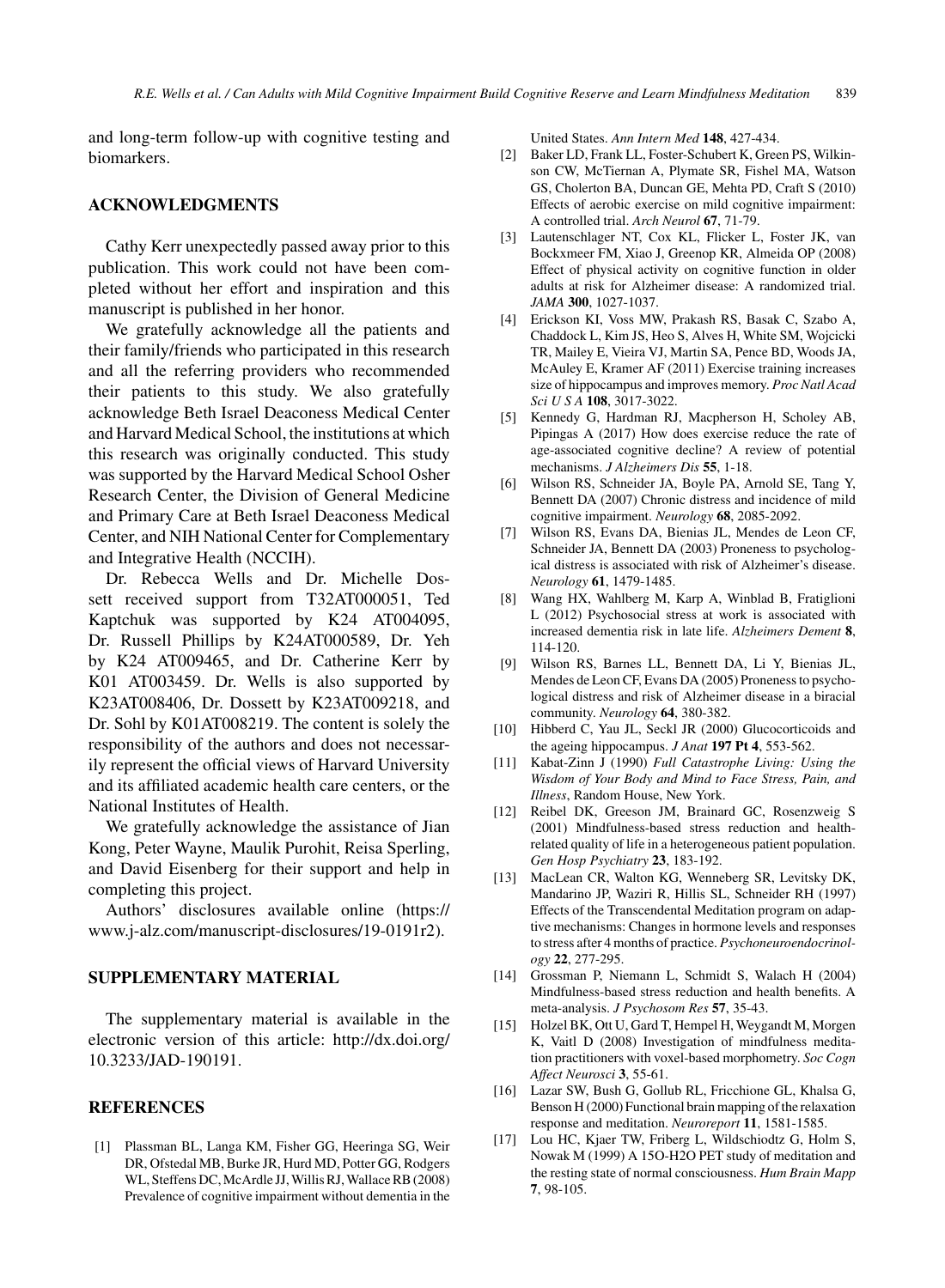and long-term follow-up with cognitive testing and biomarkers.

# **ACKNOWLEDGMENTS**

Cathy Kerr unexpectedly passed away prior to this publication. This work could not have been completed without her effort and inspiration and this manuscript is published in her honor.

We gratefully acknowledge all the patients and their family/friends who participated in this research and all the referring providers who recommended their patients to this study. We also gratefully acknowledge Beth Israel Deaconess Medical Center and Harvard Medical School, the institutions at which this research was originally conducted. This study was supported by the Harvard Medical School Osher Research Center, the Division of General Medicine and Primary Care at Beth Israel Deaconess Medical Center, and NIH National Center for Complementary and Integrative Health (NCCIH).

Dr. Rebecca Wells and Dr. Michelle Dossett received support from T32AT000051, Ted Kaptchuk was supported by K24 AT004095, Dr. Russell Phillips by K24AT000589, Dr. Yeh by K24 AT009465, and Dr. Catherine Kerr by K01 AT003459. Dr. Wells is also supported by K23AT008406, Dr. Dossett by K23AT009218, and Dr. Sohl by K01AT008219. The content is solely the responsibility of the authors and does not necessarily represent the official views of Harvard University and its affiliated academic health care centers, or the National Institutes of Health.

We gratefully acknowledge the assistance of Jian Kong, Peter Wayne, Maulik Purohit, Reisa Sperling, and David Eisenberg for their support and help in completing this project.

Authors' disclosures available online ([https://](https://www.j-alz.com/manuscript-disclosures/19-0191r2) [www.j-alz.com/manuscript-disclosures/19-0191r2\)](https://www.j-alz.com/manuscript-disclosures/19-0191r2).

# **SUPPLEMENTARY MATERIAL**

The supplementary material is available in the electronic version of this article: [http://dx.doi.org/](http://dx.doi.org/10.3233/JAD-190191) [10.3233/JAD-190191.](http://dx.doi.org/10.3233/JAD-190191)

#### **REFERENCES**

[1] Plassman BL, Langa KM, Fisher GG, Heeringa SG, Weir DR, Ofstedal MB, Burke JR, Hurd MD, Potter GG, Rodgers WL, Steffens DC, McArdle JJ, Willis RJ, Wallace RB (2008) Prevalence of cognitive impairment without dementia in the

United States. *Ann Intern Med* **148**, 427-434.

- [2] Baker LD, Frank LL, Foster-Schubert K, Green PS, Wilkinson CW, McTiernan A, Plymate SR, Fishel MA, Watson GS, Cholerton BA, Duncan GE, Mehta PD, Craft S (2010) Effects of aerobic exercise on mild cognitive impairment: A controlled trial. *Arch Neurol* **67**, 71-79.
- [3] Lautenschlager NT, Cox KL, Flicker L, Foster JK, van Bockxmeer FM, Xiao J, Greenop KR, Almeida OP (2008) Effect of physical activity on cognitive function in older adults at risk for Alzheimer disease: A randomized trial. *JAMA* **300**, 1027-1037.
- [4] Erickson KI, Voss MW, Prakash RS, Basak C, Szabo A, Chaddock L, Kim JS, Heo S, Alves H, White SM, Wojcicki TR, Mailey E, Vieira VJ, Martin SA, Pence BD, Woods JA, McAuley E, Kramer AF (2011) Exercise training increases size of hippocampus and improves memory. *Proc Natl Acad Sci U S A* **108**, 3017-3022.
- [5] Kennedy G, Hardman RJ, Macpherson H, Scholey AB, Pipingas A (2017) How does exercise reduce the rate of age-associated cognitive decline? A review of potential mechanisms. *J Alzheimers Dis* **55**, 1-18.
- [6] Wilson RS, Schneider JA, Boyle PA, Arnold SE, Tang Y, Bennett DA (2007) Chronic distress and incidence of mild cognitive impairment. *Neurology* **68**, 2085-2092.
- [7] Wilson RS, Evans DA, Bienias JL, Mendes de Leon CF, Schneider JA, Bennett DA (2003) Proneness to psychological distress is associated with risk of Alzheimer's disease. *Neurology* **61**, 1479-1485.
- [8] Wang HX, Wahlberg M, Karp A, Winblad B, Fratiglioni L (2012) Psychosocial stress at work is associated with increased dementia risk in late life. *Alzheimers Dement* **8**, 114-120.
- [9] Wilson RS, Barnes LL, Bennett DA, Li Y, Bienias JL, Mendes de Leon CF, Evans DA (2005) Proneness to psychological distress and risk of Alzheimer disease in a biracial community. *Neurology* **64**, 380-382.
- [10] Hibberd C, Yau JL, Seckl JR (2000) Glucocorticoids and the ageing hippocampus. *J Anat* **197 Pt 4**, 553-562.
- [11] Kabat-Zinn J (1990) *Full Catastrophe Living: Using the Wisdom of Your Body and Mind to Face Stress, Pain, and Illness*, Random House, New York.
- [12] Reibel DK, Greeson JM, Brainard GC, Rosenzweig S (2001) Mindfulness-based stress reduction and healthrelated quality of life in a heterogeneous patient population. *Gen Hosp Psychiatry* **23**, 183-192.
- [13] MacLean CR, Walton KG, Wenneberg SR, Levitsky DK, Mandarino JP, Waziri R, Hillis SL, Schneider RH (1997) Effects of the Transcendental Meditation program on adaptive mechanisms: Changes in hormone levels and responses to stress after 4 months of practice. *Psychoneuroendocrinology* **22**, 277-295.
- [14] Grossman P, Niemann L, Schmidt S, Walach H (2004) Mindfulness-based stress reduction and health benefits. A meta-analysis. *J Psychosom Res* **57**, 35-43.
- [15] Holzel BK, Ott U, Gard T, Hempel H, Weygandt M, Morgen K, Vaitl D (2008) Investigation of mindfulness meditation practitioners with voxel-based morphometry. *Soc Cogn Affect Neurosci* **3**, 55-61.
- [16] Lazar SW, Bush G, Gollub RL, Fricchione GL, Khalsa G, Benson H (2000) Functional brain mapping of the relaxation response and meditation. *Neuroreport* **11**, 1581-1585.
- [17] Lou HC, Kjaer TW, Friberg L, Wildschiodtz G, Holm S, Nowak M (1999) A 15O-H2O PET study of meditation and the resting state of normal consciousness. *Hum Brain Mapp* **7**, 98-105.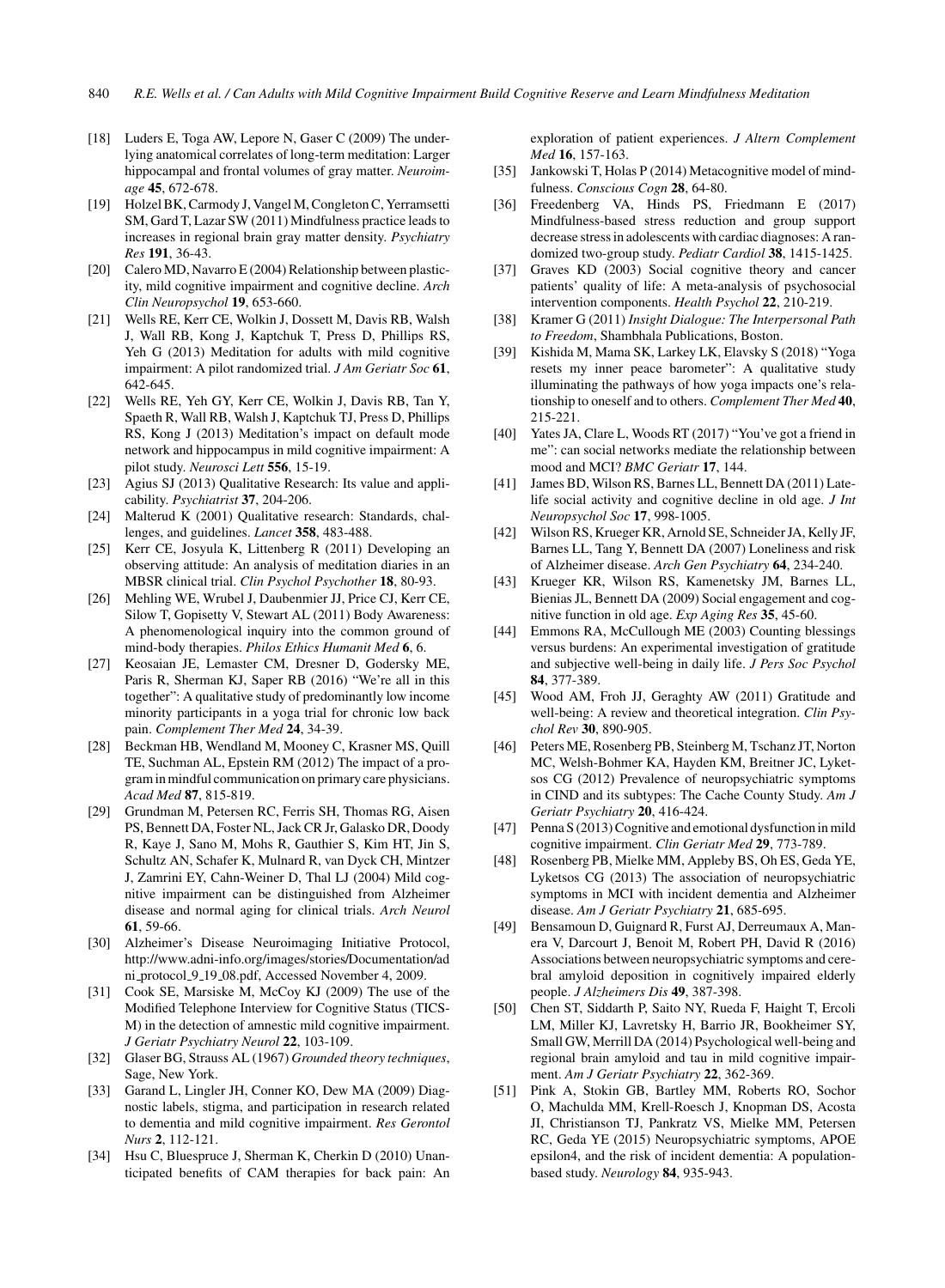- [18] Luders E, Toga AW, Lepore N, Gaser C (2009) The underlying anatomical correlates of long-term meditation: Larger hippocampal and frontal volumes of gray matter. *Neuroimage* **45**, 672-678.
- [19] Holzel BK, Carmody J, Vangel M, Congleton C, Yerramsetti SM, Gard T, Lazar SW (2011) Mindfulness practice leads to increases in regional brain gray matter density. *Psychiatry Res* **191**, 36-43.
- [20] Calero MD, Navarro E (2004) Relationship between plasticity, mild cognitive impairment and cognitive decline. *Arch Clin Neuropsychol* **19**, 653-660.
- [21] Wells RE, Kerr CE, Wolkin J, Dossett M, Davis RB, Walsh J, Wall RB, Kong J, Kaptchuk T, Press D, Phillips RS, Yeh G (2013) Meditation for adults with mild cognitive impairment: A pilot randomized trial. *J Am Geriatr Soc* **61**, 642-645.
- [22] Wells RE, Yeh GY, Kerr CE, Wolkin J, Davis RB, Tan Y, Spaeth R, Wall RB, Walsh J, Kaptchuk TJ, Press D, Phillips RS, Kong J (2013) Meditation's impact on default mode network and hippocampus in mild cognitive impairment: A pilot study. *Neurosci Lett* **556**, 15-19.
- [23] Agius SJ (2013) Qualitative Research: Its value and applicability. *Psychiatrist* **37**, 204-206.
- [24] Malterud K (2001) Qualitative research: Standards, challenges, and guidelines. *Lancet* **358**, 483-488.
- [25] Kerr CE, Josyula K, Littenberg R (2011) Developing an observing attitude: An analysis of meditation diaries in an MBSR clinical trial. *Clin Psychol Psychother* **18**, 80-93.
- [26] Mehling WE, Wrubel J, Daubenmier JJ, Price CJ, Kerr CE, Silow T, Gopisetty V, Stewart AL (2011) Body Awareness: A phenomenological inquiry into the common ground of mind-body therapies. *Philos Ethics Humanit Med* **6**, 6.
- [27] Keosaian JE, Lemaster CM, Dresner D, Godersky ME, Paris R, Sherman KJ, Saper RB (2016) "We're all in this together": A qualitative study of predominantly low income minority participants in a yoga trial for chronic low back pain. *Complement Ther Med* **24**, 34-39.
- [28] Beckman HB, Wendland M, Mooney C, Krasner MS, Quill TE, Suchman AL, Epstein RM (2012) The impact of a program in mindful communication on primary care physicians. *Acad Med* **87**, 815-819.
- [29] Grundman M, Petersen RC, Ferris SH, Thomas RG, Aisen PS, Bennett DA, Foster NL, Jack CR Jr, Galasko DR, Doody R, Kaye J, Sano M, Mohs R, Gauthier S, Kim HT, Jin S, Schultz AN, Schafer K, Mulnard R, van Dyck CH, Mintzer J, Zamrini EY, Cahn-Weiner D, Thal LJ (2004) Mild cognitive impairment can be distinguished from Alzheimer disease and normal aging for clinical trials. *Arch Neurol* **61**, 59-66.
- [30] Alzheimer's Disease Neuroimaging Initiative Protocol, [http://www.adni-info.org/images/stories/Documentation/ad](http://www.adni-info.org/images/stories/Documentation/adni_protocol_9_19_08.pdf) ni [protocol](http://www.adni-info.org/images/stories/Documentation/adni_protocol_9_19_08.pdf) 9 19 08.pdf, Accessed November 4, 2009.
- [31] Cook SE, Marsiske M, McCoy KJ (2009) The use of the Modified Telephone Interview for Cognitive Status (TICS-M) in the detection of amnestic mild cognitive impairment. *J Geriatr Psychiatry Neurol* **22**, 103-109.
- [32] Glaser BG, Strauss AL (1967) *Grounded theory techniques*, Sage, New York.
- [33] Garand L, Lingler JH, Conner KO, Dew MA (2009) Diagnostic labels, stigma, and participation in research related to dementia and mild cognitive impairment. *Res Gerontol Nurs* **2**, 112-121.
- [34] Hsu C, Bluespruce J, Sherman K, Cherkin D (2010) Unanticipated benefits of CAM therapies for back pain: An

exploration of patient experiences. *J Altern Complement Med* **16**, 157-163.

- [35] Jankowski T, Holas P (2014) Metacognitive model of mindfulness. *Conscious Cogn* **28**, 64-80.
- [36] Freedenberg VA, Hinds PS, Friedmann E (2017) Mindfulness-based stress reduction and group support decrease stress in adolescents with cardiac diagnoses: A randomized two-group study. *Pediatr Cardiol* **38**, 1415-1425.
- [37] Graves KD (2003) Social cognitive theory and cancer patients' quality of life: A meta-analysis of psychosocial intervention components. *Health Psychol* **22**, 210-219.
- [38] Kramer G (2011) *Insight Dialogue: The Interpersonal Path to Freedom*, Shambhala Publications, Boston.
- [39] Kishida M, Mama SK, Larkey LK, Elavsky S (2018) "Yoga resets my inner peace barometer": A qualitative study illuminating the pathways of how yoga impacts one's relationship to oneself and to others. *Complement Ther Med* **40**, 215-221.
- [40] Yates JA, Clare L, Woods RT (2017) "You've got a friend in me": can social networks mediate the relationship between mood and MCI? *BMC Geriatr* **17**, 144.
- [41] James BD, Wilson RS, Barnes LL, Bennett DA (2011) Latelife social activity and cognitive decline in old age. *J Int Neuropsychol Soc* **17**, 998-1005.
- [42] Wilson RS, Krueger KR, Arnold SE, Schneider JA, Kelly JF, Barnes LL, Tang Y, Bennett DA (2007) Loneliness and risk of Alzheimer disease. *Arch Gen Psychiatry* **64**, 234-240.
- [43] Krueger KR, Wilson RS, Kamenetsky JM, Barnes LL, Bienias JL, Bennett DA (2009) Social engagement and cognitive function in old age. *Exp Aging Res* **35**, 45-60.
- [44] Emmons RA, McCullough ME (2003) Counting blessings versus burdens: An experimental investigation of gratitude and subjective well-being in daily life. *J Pers Soc Psychol* **84**, 377-389.
- [45] Wood AM, Froh JJ, Geraghty AW (2011) Gratitude and well-being: A review and theoretical integration. *Clin Psychol Rev* **30**, 890-905.
- [46] Peters ME, Rosenberg PB, Steinberg M, Tschanz JT, Norton MC, Welsh-Bohmer KA, Hayden KM, Breitner JC, Lyketsos CG (2012) Prevalence of neuropsychiatric symptoms in CIND and its subtypes: The Cache County Study. *Am J Geriatr Psychiatry* **20**, 416-424.
- [47] Penna S (2013) Cognitive and emotional dysfunction in mild cognitive impairment. *Clin Geriatr Med* **29**, 773-789.
- [48] Rosenberg PB, Mielke MM, Appleby BS, Oh ES, Geda YE, Lyketsos CG (2013) The association of neuropsychiatric symptoms in MCI with incident dementia and Alzheimer disease. *Am J Geriatr Psychiatry* **21**, 685-695.
- [49] Bensamoun D, Guignard R, Furst AJ, Derreumaux A, Manera V, Darcourt J, Benoit M, Robert PH, David R (2016) Associations between neuropsychiatric symptoms and cerebral amyloid deposition in cognitively impaired elderly people. *J Alzheimers Dis* **49**, 387-398.
- [50] Chen ST, Siddarth P, Saito NY, Rueda F, Haight T, Ercoli LM, Miller KJ, Lavretsky H, Barrio JR, Bookheimer SY, Small GW, Merrill DA (2014) Psychological well-being and regional brain amyloid and tau in mild cognitive impairment. *Am J Geriatr Psychiatry* **22**, 362-369.
- [51] Pink A, Stokin GB, Bartley MM, Roberts RO, Sochor O, Machulda MM, Krell-Roesch J, Knopman DS, Acosta JI, Christianson TJ, Pankratz VS, Mielke MM, Petersen RC, Geda YE (2015) Neuropsychiatric symptoms, APOE epsilon4, and the risk of incident dementia: A populationbased study. *Neurology* **84**, 935-943.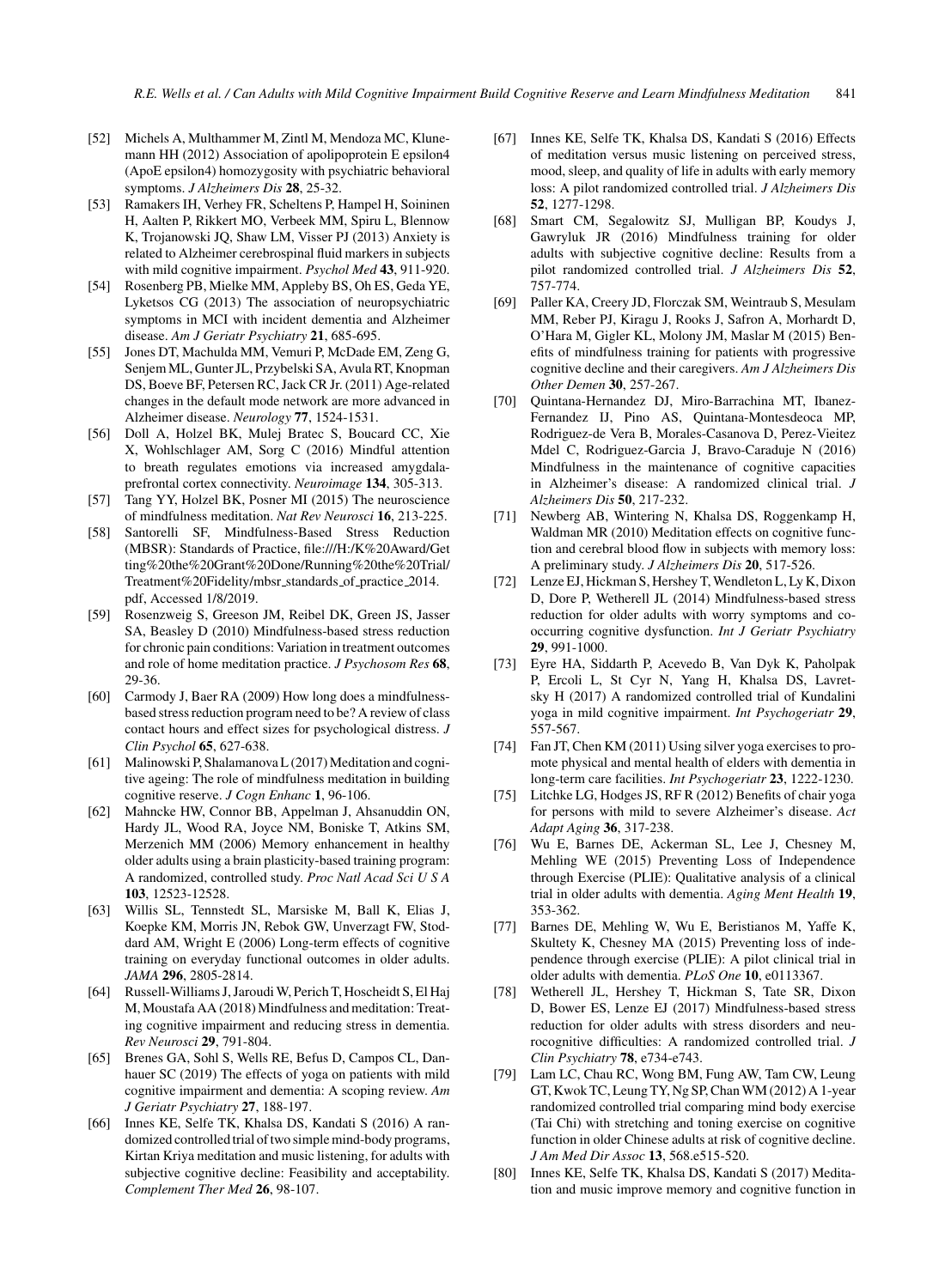- [52] Michels A, Multhammer M, Zintl M, Mendoza MC, Klunemann HH (2012) Association of apolipoprotein E epsilon4 (ApoE epsilon4) homozygosity with psychiatric behavioral symptoms. *J Alzheimers Dis* **28**, 25-32.
- [53] Ramakers IH, Verhey FR, Scheltens P, Hampel H, Soininen H, Aalten P, Rikkert MO, Verbeek MM, Spiru L, Blennow K, Trojanowski JQ, Shaw LM, Visser PJ (2013) Anxiety is related to Alzheimer cerebrospinal fluid markers in subjects with mild cognitive impairment. *Psychol Med* **43**, 911-920.
- [54] Rosenberg PB, Mielke MM, Appleby BS, Oh ES, Geda YE, Lyketsos CG (2013) The association of neuropsychiatric symptoms in MCI with incident dementia and Alzheimer disease. *Am J Geriatr Psychiatry* **21**, 685-695.
- [55] Jones DT, Machulda MM, Vemuri P, McDade EM, Zeng G, Senjem ML, Gunter JL, Przybelski SA, Avula RT, Knopman DS, Boeve BF, Petersen RC, Jack CR Jr. (2011) Age-related changes in the default mode network are more advanced in Alzheimer disease. *Neurology* **77**, 1524-1531.
- [56] Doll A, Holzel BK, Mulej Bratec S, Boucard CC, Xie X, Wohlschlager AM, Sorg C (2016) Mindful attention to breath regulates emotions via increased amygdalaprefrontal cortex connectivity. *Neuroimage* **134**, 305-313.
- [57] Tang YY, Holzel BK, Posner MI (2015) The neuroscience of mindfulness meditation. *Nat Rev Neurosci* **16**, 213-225.
- [58] Santorelli SF, Mindfulness-Based Stress Reduction (MBSR): Standards of Practice, file:///H:/K%20Award/Get ting%20the%20Grant%20Done/Running%20the%20Trial/ Treatment%20Fidelity/mbsr\_standards\_of\_practice\_2014. pdf, Accessed 1/8/2019.
- [59] Rosenzweig S, Greeson JM, Reibel DK, Green JS, Jasser SA, Beasley D (2010) Mindfulness-based stress reduction for chronic pain conditions: Variation in treatment outcomes and role of home meditation practice. *J Psychosom Res* **68**, 29-36.
- [60] Carmody J, Baer RA (2009) How long does a mindfulnessbased stress reduction program need to be? A review of class contact hours and effect sizes for psychological distress. *J Clin Psychol* **65**, 627-638.
- [61] Malinowski P, Shalamanova L (2017) Meditation and cognitive ageing: The role of mindfulness meditation in building cognitive reserve. *J Cogn Enhanc* **1**, 96-106.
- [62] Mahncke HW, Connor BB, Appelman J, Ahsanuddin ON, Hardy JL, Wood RA, Joyce NM, Boniske T, Atkins SM, Merzenich MM (2006) Memory enhancement in healthy older adults using a brain plasticity-based training program: A randomized, controlled study. *Proc Natl Acad SciUSA* **103**, 12523-12528.
- [63] Willis SL, Tennstedt SL, Marsiske M, Ball K, Elias J, Koepke KM, Morris JN, Rebok GW, Unverzagt FW, Stoddard AM, Wright E (2006) Long-term effects of cognitive training on everyday functional outcomes in older adults. *JAMA* **296**, 2805-2814.
- [64] Russell-Williams J, Jaroudi W, Perich T, Hoscheidt S, El Haj M, Moustafa AA (2018) Mindfulness and meditation: Treating cognitive impairment and reducing stress in dementia. *Rev Neurosci* **29**, 791-804.
- [65] Brenes GA, Sohl S, Wells RE, Befus D, Campos CL, Danhauer SC (2019) The effects of yoga on patients with mild cognitive impairment and dementia: A scoping review. *Am J Geriatr Psychiatry* **27**, 188-197.
- [66] Innes KE, Selfe TK, Khalsa DS, Kandati S (2016) A randomized controlled trial of two simple mind-body programs, Kirtan Kriya meditation and music listening, for adults with subjective cognitive decline: Feasibility and acceptability. *Complement Ther Med* **26**, 98-107.
- [67] Innes KE, Selfe TK, Khalsa DS, Kandati S (2016) Effects of meditation versus music listening on perceived stress, mood, sleep, and quality of life in adults with early memory loss: A pilot randomized controlled trial. *J Alzheimers Dis* **52**, 1277-1298.
- [68] Smart CM, Segalowitz SJ, Mulligan BP, Koudys J, Gawryluk JR (2016) Mindfulness training for older adults with subjective cognitive decline: Results from a pilot randomized controlled trial. *J Alzheimers Dis* **52**, 757-774.
- [69] Paller KA, Creery JD, Florczak SM, Weintraub S, Mesulam MM, Reber PJ, Kiragu J, Rooks J, Safron A, Morhardt D, O'Hara M, Gigler KL, Molony JM, Maslar M (2015) Benefits of mindfulness training for patients with progressive cognitive decline and their caregivers. *Am J Alzheimers Dis Other Demen* **30**, 257-267.
- [70] Quintana-Hernandez DJ, Miro-Barrachina MT, Ibanez-Fernandez IJ, Pino AS, Quintana-Montesdeoca MP, Rodriguez-de Vera B, Morales-Casanova D, Perez-Vieitez Mdel C, Rodriguez-Garcia J, Bravo-Caraduje N (2016) Mindfulness in the maintenance of cognitive capacities in Alzheimer's disease: A randomized clinical trial. *J Alzheimers Dis* **50**, 217-232.
- [71] Newberg AB, Wintering N, Khalsa DS, Roggenkamp H, Waldman MR (2010) Meditation effects on cognitive function and cerebral blood flow in subjects with memory loss: A preliminary study. *J Alzheimers Dis* **20**, 517-526.
- [72] Lenze EJ, Hickman S, Hershey T, Wendleton L, Ly K, Dixon D, Dore P, Wetherell JL (2014) Mindfulness-based stress reduction for older adults with worry symptoms and cooccurring cognitive dysfunction. *Int J Geriatr Psychiatry* **29**, 991-1000.
- [73] Eyre HA, Siddarth P, Acevedo B, Van Dyk K, Paholpak P, Ercoli L, St Cyr N, Yang H, Khalsa DS, Lavretsky H (2017) A randomized controlled trial of Kundalini yoga in mild cognitive impairment. *Int Psychogeriatr* **29**, 557-567.
- [74] Fan JT, Chen KM (2011) Using silver yoga exercises to promote physical and mental health of elders with dementia in long-term care facilities. *Int Psychogeriatr* **23**, 1222-1230.
- [75] Litchke LG, Hodges JS, RF R (2012) Benefits of chair yoga for persons with mild to severe Alzheimer's disease. *Act Adapt Aging* **36**, 317-238.
- [76] Wu E, Barnes DE, Ackerman SL, Lee J, Chesney M, Mehling WE (2015) Preventing Loss of Independence through Exercise (PLIE): Qualitative analysis of a clinical trial in older adults with dementia. *Aging Ment Health* **19**, 353-362.
- [77] Barnes DE, Mehling W, Wu E, Beristianos M, Yaffe K, Skultety K, Chesney MA (2015) Preventing loss of independence through exercise (PLIE): A pilot clinical trial in older adults with dementia. *PLoS One* **10**, e0113367.
- [78] Wetherell JL, Hershey T, Hickman S, Tate SR, Dixon D, Bower ES, Lenze EJ (2017) Mindfulness-based stress reduction for older adults with stress disorders and neurocognitive difficulties: A randomized controlled trial. *J Clin Psychiatry* **78**, e734-e743.
- [79] Lam LC, Chau RC, Wong BM, Fung AW, Tam CW, Leung GT, Kwok TC, Leung TY, Ng SP, Chan WM (2012) A 1-year randomized controlled trial comparing mind body exercise (Tai Chi) with stretching and toning exercise on cognitive function in older Chinese adults at risk of cognitive decline. *J Am Med Dir Assoc* **13**, 568.e515-520.
- [80] Innes KE, Selfe TK, Khalsa DS, Kandati S (2017) Meditation and music improve memory and cognitive function in